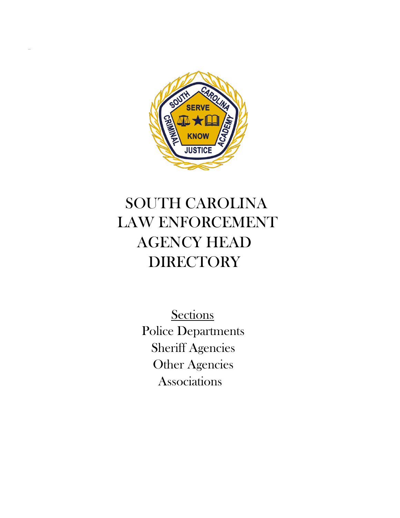

# SOUTH CAROLINA LAW ENFORCEMENT AGENCY HEAD **DIRECTORY**

**Sections** Police Departments Sheriff Agencies Other Agencies Associations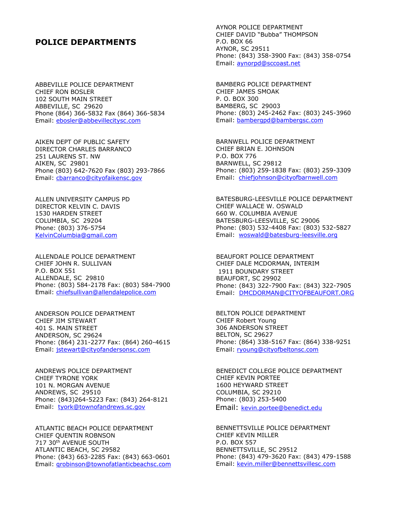#### **POLICE DEPARTMENTS**

ABBEVILLE POLICE DEPARTMENT CHIEF RON BOSLER 102 SOUTH MAIN STREET ABBEVILLE, SC 29620 Phone (864) 366-5832 Fax (864) 366-5834 Email: ebosler@abbevillecitysc.com

AIKEN DEPT OF PUBLIC SAFETY DIRECTOR CHARLES BARRANCO 251 LAURENS ST. NW AIKEN, SC 29801 Phone (803) 642-7620 Fax (803) 293-7866 Email: [cbarranco@cityofaikensc.gov](mailto:cbarranco@cityofaikensc.gov)

ALLEN UNIVERSITY CAMPUS PD DIRECTOR KELVIN C. DAVIS 1530 HARDEN STREET COLUMBIA, SC 29204 Phone: (803) 376-5754 KelvinColumbia@gmail.com

ALLENDALE POLICE DEPARTMENT CHIEF JOHN R. SULLIVAN P.O. BOX 551 ALLENDALE, SC 29810 Phone: (803) 584-2178 Fax: (803) 584-7900 Email: [chiefsullivan@allendalepolice.com](mailto:chiefsullivan@allendalepolice.com)

ANDERSON POLICE DEPARTMENT CHIEF JIM STEWART 401 S. MAIN STREET ANDERSON, SC 29624 Phone: (864) 231-2277 Fax: (864) 260-4615 Email: [jstewart@cityofandersonsc.com](mailto:jstewart@cityofandersonsc.com)

ANDREWS POLICE DEPARTMENT CHIEF TYRONE YORK 101 N. MORGAN AVENUE ANDREWS, SC 29510 Phone: (843)264-5223 Fax: (843) 264-8121 Email: tyork@townofandrews.sc.gov

ATLANTIC BEACH POLICE DEPARTMENT CHIEF QUENTIN ROBNSON 717 30th AVENUE SOUTH ATLANTIC BEACH, SC 29582 Phone: (843) 663-2285 Fax: (843) 663-0601 Email: [qrobinson@townofatlanticbeachsc.com](mailto:qrobinson@townofatlanticbeachsc.com) AYNOR POLICE DEPARTMENT CHIEF DAVID "Bubba" THOMPSON P.O. BOX 66 AYNOR, SC 29511 Phone: (843) 358-3900 Fax: (843) 358-0754 Email: [aynorpd@sccoast.net](mailto:aynorpd@sccoast.net)

BAMBERG POLICE DEPARTMENT CHIEF JAMES SMOAK P. O. BOX 300 BAMBERG, SC 29003 Phone: (803) 245-2462 Fax: (803) 245-3960 Email: [bambergpd@bambergsc.com](mailto:bambergpd@bambergsc.com)

BARNWELL POLICE DEPARTMENT CHIEF BRIAN E. JOHNSON P.O. BOX 776 BARNWELL, SC 29812 Phone: (803) 259-1838 Fax: (803) 259-3309 Email: [chiefjohnson@cityofbarnwell.com](mailto:chiefjohnson@cityofbarnwell.com)

BATESBURG-LEESVILLE POLICE DEPARTMENT CHIEF WALLACE W. OSWALD 660 W. COLUMBIA AVENUE BATESBURG-LEESVILLE, SC 29006 Phone: (803) 532-4408 Fax: (803) 532-5827 Email: [woswald@batesburg-leesville.org](mailto:woswald@batesburg-leesville.org)

BEAUFORT POLICE DEPARTMENT CHIEF DALE MCDORMAN, INTERIM 1911 BOUNDARY STREET BEAUFORT, SC 29902 Phone: (843) 322-7900 Fax: (843) 322-7905 Email: [DMCDORMAN@CITYOFBEAUFORT.ORG](mailto:DMCDORMAN@CITYOFBEAUFORT.ORG)

BELTON POLICE DEPARTMENT CHIEF Robert Young 306 ANDERSON STREET BELTON, SC 29627 Phone: (864) 338-5167 Fax: (864) 338-9251 Email: [ryoung@cityofbeltonsc.com](mailto:ryoung@cityofbeltonsc.com)

BENEDICT COLLEGE POLICE DEPARTMENT CHIEF KEVIN PORTEE 1600 HEYWARD STREET COLUMBIA, SC 29210 Phone: (803) 253-5400 Email: kevin.portee@benedict.edu

BENNETTSVILLE POLICE DEPARTMENT CHIEF KEVIN MILLER P.O. BOX 557 BENNETTSVILLE, SC 29512 Phone: (843) 479-3620 Fax: (843) 479-1588 Email: [kevin.miller@bennettsvillesc.com](mailto:kevin.miller@bennettsvillesc.com)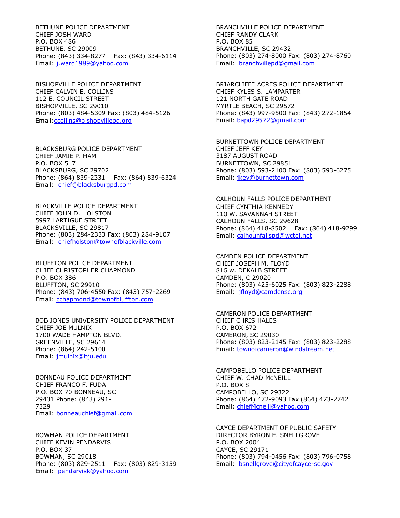BETHUNE POLICE DEPARTMENT CHIEF JOSH WARD P.O. BOX 486 BETHUNE, SC 29009 Phone: (843) 334-8277 Fax: (843) 334-6114 Email: j.ward1989@yahoo.com

BISHOPVILLE POLICE DEPARTMENT CHIEF CALVIN E. COLLINS 112 E. COUNCIL STREET BISHOPVILLE, SC 29010 Phone: (803) 484-5309 Fax: (803) 484-5126 Email:ccollins@bishopvillepd.org

BLACKSBURG POLICE DEPARTMENT CHIEF JAMIE P. HAM P.O. BOX 517 BLACKSBURG, SC 29702 Phone: (864) 839-2331 Fax: (864) 839-6324 Email: [chief@blacksburgpd.com](mailto:chief@blacksburgpd.com)

BLACKVILLE POLICE DEPARTMENT CHIEF JOHN D. HOLSTON 5997 LARTIGUE STREET BLACKSVILLE, SC 29817 Phone: (803) 284-2333 Fax: (803) 284-9107 Email: chiefholston@townofblackville.com

BLUFFTON POLICE DEPARTMENT CHIEF CHRISTOPHER CHAPMOND P.O. BOX 386 BLUFFTON, SC 29910 Phone: (843) 706-4550 Fax: (843) 757-2269 Email: [cchapmond@townofbluffton.com](mailto:cchapmond@townofbluffton.com)

BOB JONES UNIVERSITY POLICE DEPARTMENT CHIEF JOE MULNIX 1700 WADE HAMPTON BLVD. GREENVILLE, SC 29614 Phone: (864) 242-5100 Email: [jmulnix@bju.edu](mailto:jmulnix@bju.edu)

BONNEAU POLICE DEPARTMENT CHIEF FRANCO F. FUDA P.O. BOX 70 BONNEAU, SC 29431 Phone: (843) 291- 7329 Email: bonneauchief@gmail.com

BOWMAN POLICE DEPARTMENT CHIEF KEVIN PENDARVIS P.O. BOX 37 BOWMAN, SC 29018 Phone: (803) 829-2511 Fax: (803) 829-3159 Email: [pendarvisk@yahoo.com](mailto:pendarvisk@yahoo.com)

BRANCHVILLE POLICE DEPARTMENT CHIEF RANDY CLARK P.O. BOX 85 BRANCHVILLE, SC 29432 Phone: (803) 274-8000 Fax: (803) 274-8760 Email: [branchvillepd@gmail.com](mailto:branchvillepd@gmail.com)

BRIARCLIFFE ACRES POLICE DEPARTMENT CHIEF KYLES S. LAMPARTER 121 NORTH GATE ROAD MYRTLE BEACH, SC 29572 Phone: (843) 997-9500 Fax: (843) 272-1854 Email: [bapd29572@gmail.com](mailto:bapd29572@gmail.com)

BURNETTOWN POLICE DEPARTMENT CHIEF JEFF KEY 3187 AUGUST ROAD BURNETTOWN, SC 29851 Phone: (803) 593-2100 Fax: (803) 593-6275 Email: [jkey@burnettown.com](mailto:jkey@burnettown.com)

CALHOUN FALLS POLICE DEPARTMENT CHIEF CYNTHIA KENNEDY 110 W. SAVANNAH STREET CALHOUN FALLS, SC 29628 Phone: (864) 418-8502 Fax: (864) 418-9299 Email: calhounfallspd@wctel.net

CAMDEN POLICE DEPARTMENT CHIEF JOSEPH M. FLOYD 816 w. DEKALB STREET CAMDEN, C 29020 Phone: (803) 425-6025 Fax: (803) 823-2288 Email: [jfloyd@camdensc.org](mailto:jfloyd@camdensc.org)

CAMERON POLICE DEPARTMENT CHIEF CHRIS HALES P.O. BOX 672 CAMERON, SC 29030 Phone: (803) 823-2145 Fax: (803) 823-2288 Email: townofcameron@windstream.net

CAMPOBELLO POLICE DEPARTMENT CHIEF W. CHAD McNEILL P.O. BOX 8 CAMPOBELLO, SC 29322 Phone: (864) 472-9093 Fax (864) 473-2742 Email: chiefMcneill@yahoo.com

CAYCE DEPARTMENT OF PUBLIC SAFETY DIRECTOR BYRON E. SNELLGROVE P.O. BOX 2004 CAYCE, SC 29171 Phone: (803) 794-0456 Fax: (803) 796-0758 Email: [bsnellgrove@cityofcayce-sc.gov](mailto:bsnellgrove@cityofcayce-sc.gov)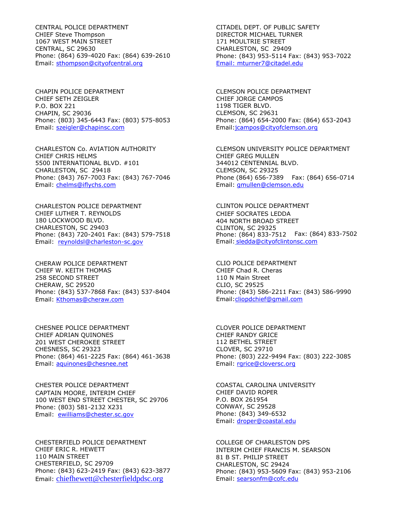CENTRAL POLICE DEPARTMENT CHIEF Steve Thompson 1067 WEST MAIN STREET CENTRAL, SC 29630 Phone: (864) 639-4020 Fax: (864) 639-2610 Email: [sthompson@cityofcentral.org](mailto:sthompson@cityofcentral.org)

CHAPIN POLICE DEPARTMENT CHIEF SETH ZEIGLER P.O. BOX 221 CHAPIN, SC 29036 Phone: (803) 345-6443 Fax: (803) 575-8053 Email: [szeigler@chapinsc.com](mailto:szeigler@chapinsc.com)

CHARLESTON Co. AVIATION AUTHORITY CHIEF CHRIS HELMS 5500 INTERNATIONAL BLVD. #101 CHARLESTON, SC 29418 Phone: (843) 767-7003 Fax: (843) 767-7046 Email: chelms@iflychs.com

CHARLESTON POLICE DEPARTMENT CHIEF LUTHER T. REYNOLDS 180 LOCKWOOD BLVD. CHARLESTON, SC 29403 Phone: (843) 720-2401 Fax: (843) 579-7518 Email: [reynoldsl@charleston-sc.gov](mailto:reynoldsl@charleston-sc.gov)

CHERAW POLICE DEPARTMENT CHIEF W. KEITH THOMAS 258 SECOND STREET CHERAW, SC 29520 Phone: (843) 537-7868 Fax: (843) 537-8404 Email: [Kthomas@cheraw.com](mailto:Kthomas@cheraw.com)

CHESNEE POLICE DEPARTMENT CHIEF ADRIAN QUINONES 201 WEST CHEROKEE STREET CHESNESS, SC 29323 Phone: (864) 461-2225 Fax: (864) 461-3638 Email: aquinones@chesnee.net

CHESTER POLICE DEPARTMENT CAPTAIN MOORE, INTERIM CHIEF 100 WEST END STREET CHESTER, SC 29706 Phone: (803) 581-2132 X231 Email: [ewilliams@chester.sc.gov](mailto:ewilliams@chester.sc.gov)

CHESTERFIELD POLICE DEPARTMENT CHIEF ERIC R. HEWETT 110 MAIN STREET CHESTERFIELD, SC 29709 Phone: (843) 623-2419 Fax: (843) 623-3877 Email: [chiefhewett@chesterfieldpdsc.org](mailto:chiefhewett@chesterfieldpdsc.org)

CITADEL DEPT. OF PUBLIC SAFETY DIRECTOR MICHAEL TURNER 171 MOULTRIE STREET CHARLESTON, SC 29409 Phone: (843) 953-5114 Fax: (843) 953-7022 Email: mturner7@citadel.edu

CLEMSON POLICE DEPARTMENT CHIEF JORGE CAMPOS 1198 TIGER BLVD. CLEMSON, SC 29631 Phone: (864) 654-2000 Fax: (864) 653-2043 Email:jcampos@cityofclemson.org

CLEMSON UNIVERSITY POLICE DEPARTMENT CHIEF GREG MULLEN 344012 CENTENNIAL BLVD. CLEMSON, SC 29325 Phone (864) 656-7389 Fax: (864) 656-0714 Email: [gmullen@clemson.edu](mailto:gmullen@clemson.edu)

CLINTON POLICE DEPARTMENT CHIEF SOCRATES LEDDA 404 NORTH BROAD STREET CLINTON, SC 29325 Phone: (864) 833-7512 Fax: (864) 833-7502 Email: [sledda@cityofclintonsc.com](mailto:sledda@cityofclintonsc.com)

CLIO POLICE DEPARTMENT CHIEF Chad R. Cheras 110 N Main Street CLIO, SC 29525 Phone: (843) 586-2211 Fax: (843) 586-9990 Email:cliopdchief@gmail.com

CLOVER POLICE DEPARTMENT CHIEF RANDY GRICE 112 BETHEL STREET CLOVER, SC 29710 Phone: (803) 222-9494 Fax: (803) 222-3085 Email: [rgrice@cloversc.org](mailto:rgrice@cloversc.org)

COASTAL CAROLINA UNIVERSITY CHIEF DAVID ROPER P.O. BOX 261954 CONWAY, SC 29528 Phone: (843) 349-6532 Email: [droper@coastal.edu](mailto:droper@coastal.edu)

COLLEGE OF CHARLESTON DPS INTERIM CHIEF FRANCIS M. SEARSON 81 B ST. PHILIP STREET CHARLESTON, SC 29424 Phone: (843) 953-5609 Fax: (843) 953-2106 Email: searsonfm@cofc.edu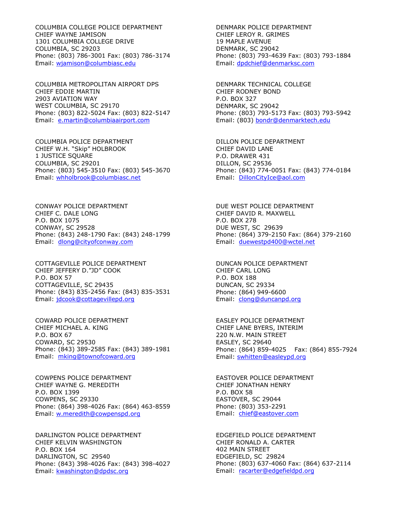COLUMBIA COLLEGE POLICE DEPARTMENT CHIEF WAYNE JAMISON 1301 COLUMBIA COLLEGE DRIVE COLUMBIA, SC 29203 Phone: (803) 786-3001 Fax: (803) 786-3174 Email: [wjamison@columbiasc.edu](mailto:wjamison@columbiasc.edu)

COLUMBIA METROPOLITAN AIRPORT DPS CHIEF EDDIE MARTIN 2903 AVIATION WAY WEST COLUMBIA, SC 29170 Phone: (803) 822-5024 Fax: (803) 822-5147 Email: [e.martin@columbiaairport.com](mailto:e.martin@columbiaairport.com)

COLUMBIA POLICE DEPARTMENT CHIEF W.H. "Skip" HOLBROOK 1 JUSTICE SQUARE COLUMBIA, SC 29201 Phone: (803) 545-3510 Fax: (803) 545-3670 Email: [whholbrook@columbiasc.net](mailto:whholbrook@columbiasc.net)

CONWAY POLICE DEPARTMENT CHIEF C. DALE LONG P.O. BOX 1075 CONWAY, SC 29528 Phone: (843) 248-1790 Fax: (843) 248-1799 Email: [dlong@cityofconway.com](mailto:dlong@cityofconway.com)

COTTAGEVILLE POLICE DEPARTMENT CHIEF JEFFERY D."JD" COOK P.O. BOX 57 COTTAGEVILLE, SC 29435 Phone: (843) 835-2456 Fax: (843) 835-3531 Email: jdcook@cottagevillepd.org

COWARD POLICE DEPARTMENT CHIEF MICHAEL A. KING P.O. BOX 67 COWARD, SC 29530 Phone: (843) 389-2585 Fax: (843) 389-1981 Email: [mking@townofcoward.org](mailto:mking@townofcoward.org)

COWPENS POLICE DEPARTMENT CHIEF WAYNE G. MEREDITH P.O. BOX 1399 COWPENS, SC 29330 Phone: (864) 398-4026 Fax: (864) 463-8559 Email: w.meredith@cowpenspd.org

DARLINGTON POLICE DEPARTMENT CHIEF KELVIN WASHINGTON P.O. BOX 164 DARLINGTON, SC 29540 Phone: (843) 398-4026 Fax: (843) 398-4027 Email: [kwashington@dpdsc.org](mailto:kwashington@dpdsc.org)

DENMARK POLICE DEPARTMENT CHIEF LEROY R. GRIMES 19 MAPLE AVENUE DENMARK, SC 29042 Phone: (803) 793-4639 Fax: (803) 793-1884 Email: dpdchief@denmarksc.com

DENMARK TECHNICAL COLLEGE CHIEF RODNEY BOND P.O. BOX 327 DENMARK, SC 29042 Phone: (803) 793-5173 Fax: (803) 793-5942 Email: (803) bondr@denmarktech.edu

DILLON POLICE DEPARTMENT CHIEF DAVID LANE P.O. DRAWER 431 DILLON, SC 29536 Phone: (843) 774-0051 Fax: (843) 774-0184 Email: DillonCityIce@aol.com

DUE WEST POLICE DEPARTMENT CHIEF DAVID R. MAXWELL P.O. BOX 278 DUE WEST, SC 29639 Phone: (864) 379-2150 Fax: (864) 379-2160 Email: [duewestpd400@wctel.net](mailto:duewestpd400@wctel.net)

DUNCAN POLICE DEPARTMENT CHIEF CARL LONG P.O. BOX 188 DUNCAN, SC 29334 Phone: (864) 949-6600 Email: [clong@duncanpd.org](mailto:clong@duncanpd.org)

EASLEY POLICE DEPARTMENT CHIEF LANE BYERS, INTERIM 220 N.W. MAIN STREET EASLEY, SC 29640 Phone: (864) 859-4025 Fax: (864) 855-7924 Email: swhitten@easleypd.org

EASTOVER POLICE DEPARTMENT CHIEF JONATHAN HENRY P.O. BOX 58 EASTOVER, SC 29044 Phone: (803) 353-2291 Email: [chief@eastover.com](mailto:chief@eastover.com)

EDGEFIELD POLICE DEPARTMENT CHIEF RONALD A. CARTER 402 MAIN STREET EDGEFIELD, SC 29824 Phone: (803) 637-4060 Fax: (864) 637-2114 Email: [racarter@edgefieldpd.org](mailto:racarter@edgefieldpd.org)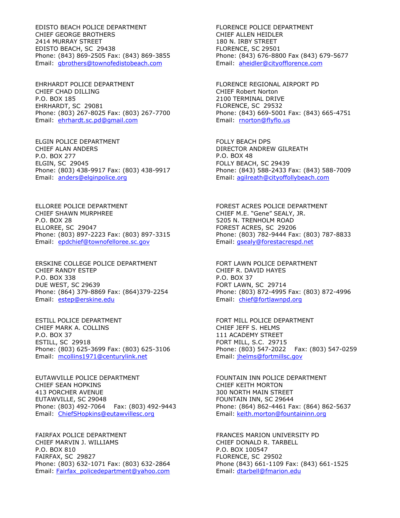EDISTO BEACH POLICE DEPARTMENT CHIEF GEORGE BROTHERS 2414 MURRAY STREET EDISTO BEACH, SC 29438 Phone: (843) 869-2505 Fax: (843) 869-3855 Email: [gbrothers@townofedistobeach.com](mailto:gbrothers@townofedistobeach.com)

EHRHARDT POLICE DEPARTMENT CHIEF CHAD DILLING P.O. BOX 185 EHRHARDT, SC 29081 Phone: (803) 267-8025 Fax: (803) 267-7700 Email: [ehrhardt.sc.pd@gmail.com](mailto:ehrhardt.sc.pd@gmail.com)

ELGIN POLICE DEPARTMENT CHIEF ALAN ANDERS P.O. BOX 277 ELGIN, SC 29045 Phone: (803) 438-9917 Fax: (803) 438-9917 Email: anders@elginpolice.org

ELLOREE POLICE DEPARTMENT CHIEF SHAWN MURPHREE P.O. BOX 28 ELLOREE, SC 29047 Phone: (803) 897-2223 Fax: (803) 897-3315 Email: epdchief@townofelloree.sc.gov

ERSKINE COLLEGE POLICE DEPARTMENT CHIEF RANDY ESTEP P.O. BOX 338 DUE WEST, SC 29639 Phone: (864) 379-8869 Fax: (864)379-2254 Email: [estep@erskine.edu](mailto:estep@erskine.edu)

ESTILL POLICE DEPARTMENT CHIEF MARK A. COLLINS P.O. BOX 37 ESTILL, SC 29918 Phone: (803) 625-3699 Fax: (803) 625-3106 Email: [mcollins1971@centurylink.net](mailto:mcollins1971@centurylink.net)

EUTAWVILLE POLICE DEPARTMENT CHIEF SEAN HOPKINS 413 PORCHER AVENUE EUTAWVILLE, SC 29048 Phone: (803) 492-7064 Fax: (803) 492-9443 Email: ChiefSHopkins@eutawvillesc.org

FAIRFAX POLICE DEPARTMENT CHIEF MARVIN J. WILLIAMS P.O. BOX 810 FAIRFAX, SC 29827 Phone: (803) 632-1071 Fax: (803) 632-2864 Email: [Fairfax\\_policedepartment@yahoo.com](mailto:Fairfax_policedepartment@yahoo.com)

FLORENCE POLICE DEPARTMENT CHIEF ALLEN HEIDLER 180 N. IRBY STREET FLORENCE, SC 29501 Phone: (843) 676-8800 Fax (843) 679-5677 Email: [aheidler@cityofflorence.com](mailto:aheidler@cityofflorence.com)

FLORENCE REGIONAL AIRPORT PD CHIEF Robert Norton 2100 TERMINAL DRIVE FLORENCE, SC 29532 Phone: (843) 669-5001 Fax: (843) 665-4751 Email: [rnorton@flyflo.us](mailto:rnorton@flyflo.us)

FOLLY BEACH DPS DIRECTOR ANDREW GILREATH P.O. BOX 48 FOLLY BEACH, SC 29439 Phone: (843) 588-2433 Fax: (843) 588-7009 Email: [agilreath@cityoffollybeach.com](mailto:agilreath@cityoffollybeach.com)

FOREST ACRES POLICE DEPARTMENT CHIEF M.E. "Gene" SEALY, JR. 5205 N. TRENHOLM ROAD FOREST ACRES, SC 29206 Phone: (803) 782-9444 Fax: (803) 787-8833 Email: [gsealy@forestacrespd.net](mailto:gsealy@forestacrespd.net)

FORT LAWN POLICE DEPARTMENT CHIEF R. DAVID HAYES P.O. BOX 37 FORT LAWN, SC 29714 Phone: (803) 872-4995 Fax: (803) 872-4996 Email: [chief@fortlawnpd.org](mailto:chief@fortlawnpd.org)

FORT MILL POLICE DEPARTMENT CHIEF JEFF S. HELMS 111 ACADEMY STREET FORT MILL, S.C. 29715 Phone: (803) 547-2022 Fax: (803) 547-0259 Email: [jhelms@fortmillsc.gov](mailto:jhelms@fortmillsc.gov)

FOUNTAIN INN POLICE DEPARTMENT CHIEF KEITH MORTON 300 NORTH MAIN STREET FOUNTAIN INN, SC 29644 Phone: (864) 862-4461 Fax: (864) 862-5637 Email: [keith.morton@fountaininn.org](mailto:keith.morton@fountaininn.org)

FRANCES MARION UNIVERSITY PD CHIEF DONALD R. TARBELL P.O. BOX 100547 FLORENCE, SC 29502 Phone (843) 661-1109 Fax: (843) 661-1525 Email: [dtarbell@fmarion.edu](mailto:dtarbell@fmarion.edu)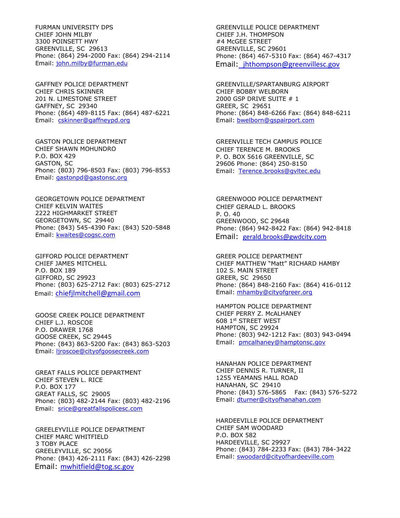FURMAN UNIVERSITY DPS CHIEF JOHN MILBY 3300 POINSETT HWY GREENVILLE, SC 29613 Phone: (864) 294-2000 Fax: (864) 294-2114 Email: [john.milby@furman.edu](mailto:john.milby@furman.edu)

GAFFNEY POLICE DEPARTMENT CHIEF CHRIS SKINNER 201 N. LIMESTONE STREET GAFFNEY, SC 29340 Phone: (864) 489-8115 Fax: (864) 487-6221 Email: [cskinner@gaffneypd.org](mailto:cskinner@gaffneypd.org)

GASTON POLICE DEPARTMENT CHIEF SHAWN MOHUNDRO P.O. BOX 429 GASTON, SC Phone: (803) 796-8503 Fax: (803) 796-8553 Email: [gastonpd@gastonsc.org](mailto:gastonpd@gastonsc.org)

GEORGETOWN POLICE DEPARTMENT CHIEF KELVIN WAITES 2222 HIGHMARKET STREET GEORGETOWN, SC 29440 Phone: (843) 545-4390 Fax: (843) 520-5848 Email: [kwaites@cogsc.com](mailto:kwaites@cogsc.com)

GIFFORD POLICE DEPARTMENT CHIEF JAMES MITCHELL P.O. BOX 189 GIFFORD, SC 29923 Phone: (803) 625-2712 Fax: (803) 625-2712 Email: chiefjlmitchell@gmail.com

GOOSE CREEK POLICE DEPARTMENT CHIEF L.J. ROSCOE P.O. DRAWER 1768 GOOSE CREEK, SC 29445 Phone: (843) 863-5200 Fax: (843) 863-5203 Email: ljroscoe@cityofgoosecreek.com

GREAT FALLS POLICE DEPARTMENT CHIEF STEVEN L. RICE P.O. BOX 177 GREAT FALLS, SC 29005 Phone: (803) 482-2144 Fax: (803) 482-2196 Email: srice@greatfallspolicesc.com

GREELEYVILLE POLICE DEPARTMENT CHIEF MARC WHITFIELD 3 TOBY PLACE GREELEYVILLE, SC 29056 Phone: (843) 426-2111 Fax: (843) 426-2298 Email: mwhitfield@tog.sc.gov

GREENVILLE POLICE DEPARTMENT CHIEF J.H. THOMPSON #4 McGEE STREET GREENVILLE, SC 29601 Phone: (864) 467-5310 Fax: (864) 467-4317 Email: [jhthompson@greenvillesc.gov](mailto:jhthompson@greenvillesc.gov)

GREENVILLE/SPARTANBURG AIRPORT CHIEF BOBBY WELBORN 2000 GSP DRIVE SUITE # 1 GREER, SC 29651 Phone: (864) 848-6266 Fax: (864) 848-6211 Email: [bwelborn@gspairport.com](mailto:bwelborn@gspairport.com)

GREENVILLE TECH CAMPUS POLICE CHIEF TERENCE M. BROOKS P. O. BOX 5616 GREENVILLE, SC 29606 Phone: (864) 250-8150 Email: [Terence.brooks@gvltec.edu](mailto:Terence.brooks@gvltec.edu)

GREENWOOD POLICE DEPARTMENT CHIEF GERALD L. BROOKS P. O. 40 GREENWOOD, SC 29648 Phone: (864) 942-8422 Fax: (864) 942-8418 Email: gerald.brooks@gwdcity.com

GREER POLICE DEPARTMENT CHIEF MATTHEW "Matt" RICHARD HAMBY 102 S. MAIN STREET GREER, SC 29650 Phone: (864) 848-2160 Fax: (864) 416-0112 Email: [mhamby@cityofgreer.org](mailto:mhamby@cityofgreer.org)

HAMPTON POLICE DEPARTMENT CHIEF PERRY Z. McALHANEY 608 1st STREET WEST HAMPTON, SC 29924 Phone: (803) 942-1212 Fax: (803) 943-0494 Email: [pmcalhaney@hamptonsc.gov](mailto:pmcalhaney@hamptonsc.gov)

HANAHAN POLICE DEPARTMENT CHIEF DENNIS R. TURNER, II 1255 YEAMANS HALL ROAD HANAHAN, SC 29410 Phone: (843) 576-5865 Fax: (843) 576-5272 Email: [dturner@cityofhanahan.com](mailto:dturner@cityofhanahan.com)

HARDEEVILLE POLICE DEPARTMENT CHIEF SAM WOODARD P.O. BOX 582 HARDEEVILLE, SC 29927 Phone: (843) 784-2233 Fax: (843) 784-3422 Email: [swoodard@cityofhardeeville.com](mailto:swoodard@cityofhardeeville.com)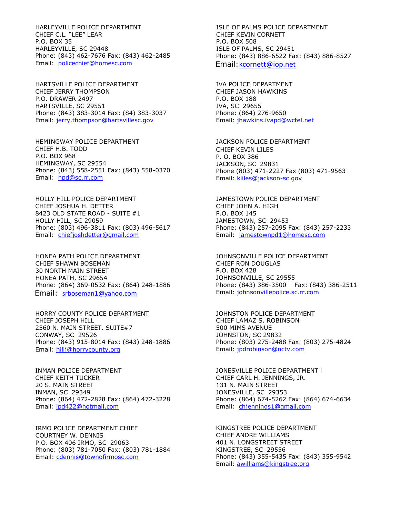HARLEYVILLE POLICE DEPARTMENT CHIEF C.L. "LEE" LEAR P.O. BOX 35 HARLEYVILLE, SC 29448 Phone: (843) 462-7676 Fax: (843) 462-2485 Email: [policechief@homesc.com](mailto:policechief@homesc.com)

HARTSVILLE POLICE DEPARTMENT CHIEF JERRY THOMPSON P.O. DRAWER 2497 HARTSVILLE, SC 29551 Phone: (843) 383-3014 Fax: (84) 383-3037 Email: [jerry.thompson@hartsvillesc.gov](mailto:jerry.thompson@hartsvillesc.gov)

HEMINGWAY POLICE DEPARTMENT CHIEF H.B. TODD P.O. BOX 968 HEMINGWAY, SC 29554 Phone: (843) 558-2551 Fax: (843) 558-0370 Email: [hpd@sc.rr.com](mailto:hpd@sc.rr.com)

HOLLY HILL POLICE DEPARTMENT CHIEF JOSHUA H. DETTER 8423 OLD STATE ROAD - SUITE #1 HOLLY HILL, SC 29059 Phone: (803) 496-3811 Fax: (803) 496-5617 Email: [chiefjoshdetter@gmail.com](mailto:chiefjoshdetter@gmail.com)

HONEA PATH POLICE DEPARTMENT CHIEF SHAWN BOSEMAN 30 NORTH MAIN STREET HONEA PATH, SC 29654 Phone: (864) 369-0532 Fax: (864) 248-1886 Email: srboseman1@yahoo.com

HORRY COUNTY POLICE DEPARTMENT CHIEF JOSEPH HILL 2560 N. MAIN STREET. SUITE#7 CONWAY, SC 29526 Phone: (843) 915-8014 Fax: (843) 248-1886 Email: [hillj@horrycounty.org](mailto:hillj@horrycounty.org)

INMAN POLICE DEPARTMENT CHIEF KEITH TUCKER 20 S. MAIN STREET INMAN, SC 29349 Phone: (864) 472-2828 Fax: (864) 472-3228 Email: [ipd422@hotmail.com](mailto:ipd422@hotmail.com)

IRMO POLICE DEPARTMENT CHIEF COURTNEY W. DENNIS P.O. BOX 406 IRMO, SC 29063 Phone: (803) 781-7050 Fax: (803) 781-1884 Email: cdennis@townofirmosc.com

ISLE OF PALMS POLICE DEPARTMENT CHIEF KEVIN CORNETT P.O. BOX 508 ISLE OF PALMS, SC 29451 Phone: (843) 886-6522 Fax: (843) 886-8527 Email:kcornett@iop.net

IVA POLICE DEPARTMENT CHIEF JASON HAWKINS P.O. BOX 188 IVA, SC 29655 Phone: (864) 276-9650 Email: [jhawkins.ivapd@wctel.net](mailto:jhawkins.ivapd@wctel.net)

JACKSON POLICE DEPARTMENT CHIEF KEVIN LILES P. O. BOX 386 JACKSON, SC 29831 Phone (803) 471-2227 Fax (803) 471-9563 Email: kliles@jackson-sc.gov

JAMESTOWN POLICE DEPARTMENT CHIEF JOHN A. HIGH P.O. BOX 145 JAMESTOWN, SC 29453 Phone: (843) 257-2095 Fax: (843) 257-2233 Email: [jamestownpd1@homesc.com](mailto:jamestownpd1@homesc.com)

JOHNSONVILLE POLICE DEPARTMENT CHIEF RON DOUGLAS P.O. BOX 428 JOHNSONVILLE, SC 29555 Phone: (843) 386-3500 Fax: (843) 386-2511 Email: johnsonvillepolice.sc.rr.com

JOHNSTON POLICE DEPARTMENT CHIEF LAMAZ S. ROBINSON 500 MIMS AVENUE JOHNSTON, SC 29832 Phone: (803) 275-2488 Fax: (803) 275-4824 Email: [jpdrobinson@nctv.com](mailto:jpdrobinson@nctv.com)

JONESVILLE POLICE DEPARTMENT l CHIEF CARL H. JENNINGS, JR. 131 N. MAIN STREET JONESVILLE, SC 29353 Phone: (864) 674-5262 Fax: (864) 674-6634 Email: [chjennings1@gmail.com](mailto:chjennings1@gmail.com)

KINGSTREE POLICE DEPARTMENT CHIEF ANDRE WILLIAMS 401 N. LONGSTREET STREET KINGSTREE, SC 29556 Phone: (843) 355-5435 Fax: (843) 355-9542 Email: [awilliams@kingstree.org](mailto:awilliams@kingstree.org)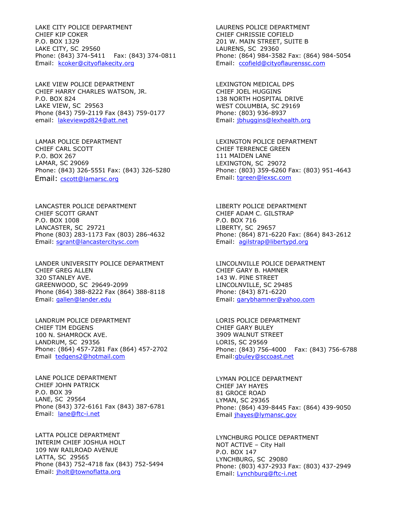LAKE CITY POLICE DEPARTMENT CHIEF KIP COKER P.O. BOX 1329 LAKE CITY, SC 29560 Phone: (843) 374-5411 Fax: (843) 374-0811 Email: [kcoker@cityoflakecity.org](mailto:kcoker@cityoflakecity.org)

LAKE VIEW POLICE DEPARTMENT CHIEF HARRY CHARLES WATSON, JR. P.O. BOX 824 LAKE VIEW, SC 29563 Phone (843) 759-2119 Fax (843) 759-0177 email: [lakeviewpd824@att.n](mailto:lakeviewpd824@att.)et

LAMAR POLICE DEPARTMENT CHIEF CARL SCOTT P.O. BOX 267 LAMAR, SC 29069 Phone: (843) 326-5551 Fax: (843) 326-5280 Email: cscott@lamarsc.org

LANCASTER POLICE DEPARTMENT CHIEF SCOTT GRANT P.O. BOX 1008 LANCASTER, SC 29721 Phone (803) 283-1173 Fax (803) 286-4632 Email: [sgrant@lancastercitysc.com](mailto:sgrant@lancastercitysc.com)

LANDER UNIVERSITY POLICE DEPARTMENT CHIEF GREG ALLEN 320 STANLEY AVE. GREENWOOD, SC 29649-2099 Phone (864) 388-8222 Fax (864) 388-8118 Email: gallen@lander.edu

LANDRUM POLICE DEPARTMENT CHIEF TIM EDGENS 100 N. SHAMROCK AVE. LANDRUM, SC 29356 Phone: (864) 457-7281 Fax (864) 457-2702 Email tedgens2@hotmail.com

LANE POLICE DEPARTMENT CHIEF JOHN PATRICK P.O. BOX 39 LANE, SC 29564 Phone (843) 372-6161 Fax (843) 387-6781 Email: lane@ftc-i.net

LATTA POLICE DEPARTMENT INTERIM CHIEF JOSHUA HOLT 109 NW RAILROAD AVENUE LATTA, SC 29565 Phone (843) 752-4718 fax (843) 752-5494 Email: jholt@townoflatta.org

LAURENS POLICE DEPARTMENT CHIEF CHRISSIE COFIELD 201 W. MAIN STREET, SUITE B LAURENS, SC 29360 Phone: (864) 984-3582 Fax: (864) 984-5054 Email: [ccofield@cityoflaurenssc.com](mailto:ccofield@cityoflaurenssc.com)

LEXINGTON MEDICAL DPS CHIEF JOEL HUGGINS 138 NORTH HOSPITAL DRIVE WEST COLUMBIA, SC 29169 Phone: (803) 936-8937 Email: [jbhuggins@lexhealth.org](mailto:jbhuggins@lexhealth.org)

LEXINGTON POLICE DEPARTMENT CHIEF TERRENCE GREEN 111 MAIDEN LANE LEXINGTON, SC 29072 Phone: (803) 359-6260 Fax: (803) 951-4643 Email: [tgreen@lexsc.com](mailto:tgreen@lexsc.com)

LIBERTY POLICE DEPARTMENT CHIEF ADAM C. GILSTRAP P.O. BOX 716 LIBERTY, SC 29657 Phone: (864) 871-6220 Fax: (864) 843-2612 Email: [agilstrap@libertypd.org](mailto:agilstrap@libertypd.org)

LINCOLNVILLE POLICE DEPARTMENT CHIEF GARY B. HAMNER 143 W. PINE STREET LINCOLNVILLE, SC 29485 Phone: (843) 871-6220 Email: [garybhamner@yahoo.com](mailto:garybhamner@yahoo.com)

LORIS POLICE DEPARTMENT CHIEF GARY BULEY 3909 WALNUT STREET LORIS, SC 29569 Phone: (843) 756-4000 Fax: (843) 756-6788 Email[:gbuley@sccoast.net](mailto:gbuley@sccoast.net)

LYMAN POLICE DEPARTMENT CHIEF JAY HAYES 81 GROCE ROAD LYMAN, SC 29365 Phone: (864) 439-8445 Fax: (864) 439-9050 Email [jhayes@lymansc.gov](mailto:jhayes@lymansc.gov)

LYNCHBURG POLICE DEPARTMENT NOT ACTIVE – City Hall P.O. BOX 147 LYNCHBURG, SC 29080 Phone: (803) 437-2933 Fax: (803) 437-2949 Email: [Lynchburg@ftc-i.net](mailto:Lynchburg@ftc-i.net)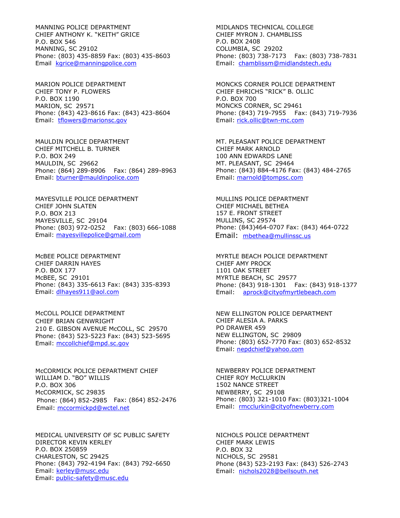MANNING POLICE DEPARTMENT CHIEF ANTHONY K. "KEITH" GRICE P.O. BOX 546 MANNING, SC 29102 Phone: (803) 435-8859 Fax: (803) 435-8603 Email [kgrice@manningpolice.com](mailto:kgrice@manningpolice.com)

MARION POLICE DEPARTMENT CHIEF TONY P. FLOWERS P.O. BOX 1190 MARION, SC 29571 Phone: (843) 423-8616 Fax: (843) 423-8604 Email: tflowers@marionsc.gov

MAULDIN POLICE DEPARTMENT CHIEF MITCHELL B. TURNER P.O. BOX 249 MAULDIN, SC 29662 Phone: (864) 289-8906 Fax: (864) 289-8963 Email: [bturner@mauldinpolice.com](mailto:bturner@mauldinpolice.com)

MAYESVILLE POLICE DEPARTMENT CHIEF JOHN SLATEN P.O. BOX 213 MAYESVILLE, SC 29104 Phone: (803) 972-0252 Fax: (803) 666-1088 Email: [mayesvillepolice@gmail.com](mailto:mayesvillepolice@gmail.com)

McBEE POLICE DEPARTMENT CHIEF DARRIN HAYES P.O. BOX 177 McBEE, SC 29101 Phone: (843) 335-6613 Fax: (843) 335-8393 Email: [dlhayes911@aol.com](mailto:dlhayes911@aol.com)

McCOLL POLICE DEPARTMENT CHIEF BRIAN GENWRIGHT 210 E. GIBSON AVENUE McCOLL, SC 29570 Phone: (843) 523-5223 Fax: (843) 523-5695 Email: mccollchief@mpd.sc.gov

McCORMICK POLICE DEPARTMENT CHIEF WILLIAM D. "BO" WILLIS P.O. BOX 306 McCORMICK, SC 29835 Phone: (864) 852-2985 Fax: (864) 852-2476 Email: [mccormickpd@wctel.net](mailto:mccormickpd@wctel.net)

MEDICAL UNIVERSITY OF SC PUBLIC SAFETY DIRECTOR KEVIN KERLEY P.O. BOX 250859 CHARLESTON, SC 29425 Phone: (843) 792-4194 Fax: (843) 792-6650 Email: [kerley@musc.edu](mailto:kerley@musc.edu) Email: [public-safety@musc.edu](mailto:public-safety@musc.edu)

MIDLANDS TECHNICAL COLLEGE CHIEF MYRON J. CHAMBLISS P.O. BOX 2408 COLUMBIA, SC 29202 Phone: (803) 738-7173 Fax: (803) 738-7831 Email: [chamblissm@midlandstech.edu](mailto:chamblissm@midlandstech.edu)

MONCKS CORNER POLICE DEPARTMENT CHIEF EHRICHS "RICK" B. OLLIC P.O. BOX 700 MONCKS CORNER, SC 29461 Phone: (843) 719-7955 Fax: (843) 719-7936 Email: [rick.ollic@twn-mc.com](mailto:rick.ollic@twn-mc.com)

MT. PLEASANT POLICE DEPARTMENT CHIEF MARK ARNOLD 100 ANN EDWARDS LANE MT. PLEASANT, SC 29464 Phone: (843) 884-4176 Fax: (843) 484-2765 Email: marnold@tompsc.com

MULLINS POLICE DEPARTMENT CHIEF MICHAEL BETHEA 157 E. FRONT STREET MULLINS, SC 29574 Phone: (843)464-0707 Fax: (843) 464-0722 Email: mbethea@mullinssc.us

MYRTLE BEACH POLICE DEPARTMENT CHIEF AMY PROCK 1101 OAK STREET MYRTLE BEACH, SC 29577 Phone: (843) 918-1301 Fax: (843) 918-1377 Email: [aprock@cityofmyrtlebeach.com](mailto:aprock@cityofmyrtlebeach.com)

NEW ELLINGTON POLICE DEPARTMENT CHIEF ALESIA A. PARKS PO DRAWER 459 NEW ELLINGTON, SC 29809 Phone: (803) 652-7770 Fax: (803) 652-8532 Email: [nepdchief@yahoo.com](mailto:nepdchief@yahoo.com)

NEWBERRY POLICE DEPARTMENT CHIEF ROY McCLURKIN 1502 NANCE STREET NEWBERRY, SC 29108 Phone: (803) 321-1010 Fax: (803)321-1004 Email: [rmcclurkin@cityofnewberry.com](mailto:rmcclurkin@cityofnewberry.com)

NICHOLS POLICE DEPARTMENT CHIEF MARK LEWIS P.O. BOX 32 NICHOLS, SC 29581 Phone (843) 523-2193 Fax: (843) 526-2743 Email: [nichols2028@bellsouth.net](mailto:nichols2028@bellsouth.net)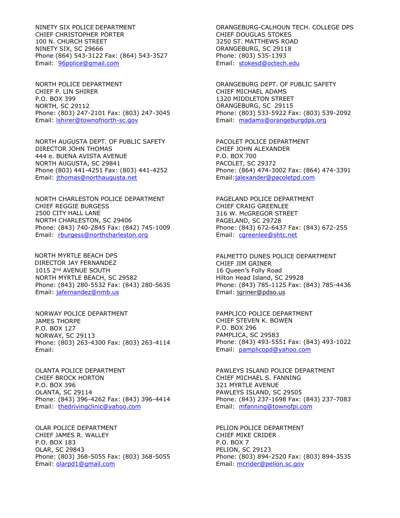NINETY SIX POLICE DEPARTMENT CHIEF CHRISTOPHER PORTER 100 N. CHURCH STREET NINETY SIX, SC 29666 Phone (864) 543-3122 Fax: (864) 543-3527 Email: 96police@gmail.com

NORTH POLICE DEPARTMENT CHIEF P. LIN SHIRER P.O. BOX 399 NORTH, SC 29112 Phone: (803) 247-2101 Fax: (803) 247-3045 Email: lshirer@townofnorth-sc.gov

NORTH AUGUSTA DEPT. OF PUBLIC SAFETY DIRECTOR JOHN THOMAS 444 e. BUENA AVISTA AVENUE NORTH AUGUSTA, SC 29841 Phone (803) 441-4251 Fax: (803) 441-4252 Email: [jthomas@northaugusta.net](mailto:jthomas@northaugusta.net)

NORTH CHARLESTON POLICE DEPARTMENT CHIEF REGGIE BURGESS 2500 CITY HALL LANE NORTH CHARLESTON, SC 29406 Phone: (843) 740-2845 Fax: (842) 745-1009 Email: [rburgess@northcharleston.org](mailto:rburgess@northcharleston.org)

NORTH MYRTLE BEACH DPS DIRECTOR JAY FERNANDEZ 1015 2nd AVENUE SOUTH NORTH MYRTLE BEACH, SC 29582 Phone: (843) 280-5532 Fax: (843) 280-5635 Email: jafernandez@nmb.us

NORWAY POLICE DEPARTMENT JAMES THORPE P.O. BOX 127 NORWAY, SC 29113 Phone: (803) 263-4300 Fax: (803) 263-4114 Email:

OLANTA POLICE DEPARTMENT CHIEF BROCK HORTON P.O. BOX 396 OLANTA, SC 29114 Phone: (843) 396-4262 Fax: (843) 396-4414 Email: thedrivingclinic@yahoo.com

OLAR POLICE DEPARTMENT CHIEF JAMES R. WALLEY P.O. BOX 183 OLAR, SC 29843 Phone: (803) 368-5055 Fax: (803) 368-5055 Email: [olarpd1@gmail.com](mailto:olarpd1@gmail.com)

ORANGEBURG-CALHOUN TECH. COLLEGE DPS CHIEF DOUGLAS STOKES 3250 ST. MATTHEWS ROAD ORANGEBURG, SC 29118 Phone: (803) 535-1393 Email: [stokesd@octech.edu](mailto:stokesd@octech.edu)

ORANGEBURG DEPT. OF PUBLIC SAFETY CHIEF MICHAEL ADAMS 1320 MIDDLETON STREET ORANGEBURG, SC 29115 Phone: (803) 533-5922 Fax: (803) 539-2092 Email: [madams@orangeburgdps.org](mailto:madams@orangeburgdps.org)

PACOLET POLICE DEPARTMENT CHIEF JOHN ALEXANDER P.O. BOX 700 PACOLET, SC 29372 Phone: (864) 474-3002 Fax: (864) 474-3391 Email:jalexander@pacoletpd.com

PAGELAND POLICE DEPARTMENT CHIEF CRAIG GREENLEE 316 W. McGREGOR STREET PAGELAND, SC 29728 Phone: (843) 672-6437 Fax: (843) 672-255 Email: [cgreenlee@shtc.net](mailto:cgreenlee@shtc.net)

PALMETTO DUNES POLICE DEPARTMENT CHIEF JIM GRINER 16 Queen's Folly Road Hilton Head Island, SC 29928 Phone: (843) 785-1125 Fax: (843) 785-4436 Email: [jgriner@pdso.us](mailto:jgriner@pdso.us)

PAMPLICO POLICE DEPARTMENT CHIEF STEVEN K. BOWEN P.O. BOX 296 PAMPLICA, SC 29583 Phone: (843) 493-5551 Fax: (843) 493-1022 Email: [pamplicopd@yahoo.com](mailto:pamplicopd@yahoo.com)

PAWLEYS ISLAND POLICE DEPARTMENT CHIEF MICHAEL S. FANNING 321 MYRTLE AVENUE PAWLEYS ISLAND, SC 29505 Phone: (843) 237-1698 Fax: (843) 237-7083 Email: [mfanning@townofpi.com](mailto:mfanning@townofpi.com)

PELION POLICE DEPARTMENT CHIEF MIKE CRIDER P.O. BOX 7 PELION, SC 29123 Phone: (803) 894-2520 Fax: (803) 894-3535 Email: [mcrider@pelion.sc.gov](mailto:mcrider@pelion.sc.gov)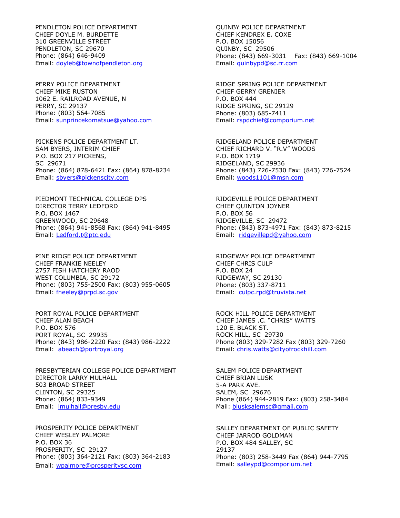PENDLETON POLICE DEPARTMENT CHIEF DOYLE M. BURDETTE 310 GREENVILLE STREET PENDLETON, SC 29670 Phone: (864) 646-9409 Email: [doyleb@townofpendleton.org](mailto:doyleb@townofpendleton.org)

PERRY POLICE DEPARTMENT CHIEF MIKE RUSTON 1062 E. RAILROAD AVENUE, N PERRY, SC 29137 Phone: (803) 564-7085 Email: [sunprincekomatsue@yahoo.com](mailto:sunprincekomatsue@yahoo.com)

PICKENS POLICE DEPARTMENT LT. SAM BYERS, INTERIM CHIEF P.O. BOX 217 PICKENS, SC 29671 Phone: (864) 878-6421 Fax: (864) 878-8234 Email: sbyers@pickenscity.com

PIEDMONT TECHNICAL COLLEGE DPS DIRECTOR TERRY LEDFORD P.O. BOX 1467 GREENWOOD, SC 29648 Phone: (864) 941-8568 Fax: (864) 941-8495 Email: [Ledford.t@ptc.edu](mailto:Ledford.t@ptc.edu)

PINE RIDGE POLICE DEPARTMENT CHIEF FRANKIE NEELEY 2757 FISH HATCHERY RAOD WEST COLUMBIA, SC 29172 Phone: (803) 755-2500 Fax: (803) 955-0605 Email: fneeley@prpd.sc.gov

PORT ROYAL POLICE DEPARTMENT CHIEF ALAN BEACH P.O. BOX 576 PORT ROYAL, SC 29935 Phone: (843) 986-2220 Fax: (843) 986-2222 Email: [abeach@portroyal.org](mailto:abeach@portroyal.org)

PRESBYTERIAN COLLEGE POLICE DEPARTMENT DIRECTOR LARRY MULHALL 503 BROAD STREET CLINTON, SC 29325 Phone: (864) 833-9349 Email: [lmulhall@presby.edu](mailto:lmulhall@presby.edu)

PROSPERITY POLICE DEPARTMENT CHIEF WESLEY PALMORE P.O. BOX 36 PROSPERITY, SC 29127 Phone: (803) 364-2121 Fax: (803) 364-2183 Email: wpalmore@prosperitysc.com

QUINBY POLICE DEPARTMENT CHIEF KENDREX E. COXE P.O. BOX 15056 QUINBY, SC 29506 Phone: (843) 669-3031 Fax: (843) 669-1004 Email: [quinbypd@sc.rr.com](mailto:quinbypd@sc.rr.com)

RIDGE SPRING POLICE DEPARTMENT CHIEF GERRY GRENIER P.O. BOX 444 RIDGE SPRING, SC 29129 Phone: (803) 685-7411 Email: [rspdchief@comporium.net](mailto:rspdchief@comporium.net)

RIDGELAND POLICE DEPARTMENT CHIEF RICHARD V. "R.V" WOODS P.O. BOX 1719 RIDGELAND, SC 29936 Phone: (843) 726-7530 Fax: (843) 726-7524 Email: [woods1101@msn.com](mailto:woods1101@msn.com)

RIDGEVILLE POLICE DEPARTMENT CHIEF QUINTON JOYNER P.O. BOX 56 RIDGEVILLE, SC 29472 Phone: (843) 873-4971 Fax: (843) 873-8215 Email: [ridgevillepd@yahoo.com](mailto:ridgevillepd@yahoo.com)

RIDGEWAY POLICE DEPARTMENT CHIEF CHRIS CULP P.O. BOX 24 RIDGEWAY, SC 29130 Phone: (803) 337-8711 Email: culpc.rpd@truvista.net

ROCK HILL POLICE DEPARTMENT CHIEF JAMES .C. "CHRIS" WATTS 120 E. BLACK ST. ROCK HILL, SC 29730 Phone (803) 329-7282 Fax (803) 329-7260 Email: chris.watts@cityofrockhill.com

SALEM POLICE DEPARTMENT CHIEF BRIAN LUSK 5-A PARK AVE. SALEM, SC 29676 Phone (864) 944-2819 Fax: (803) 258-3484 Mail: blusksalemsc@gmail.com

SALLEY DEPARTMENT OF PUBLIC SAFETY CHIEF JARROD GOLDMAN P.O. BOX 484 SALLEY, SC 29137 Phone: (803) 258-3449 Fax (864) 944-7795 Email: [salleypd@comporium.net](mailto:salleypd@comporium.net)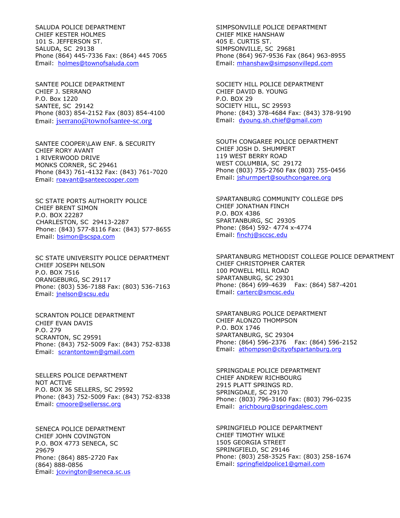SALUDA POLICE DEPARTMENT CHIEF KESTER HOLMES 101 S. JEFFERSON ST. SALUDA, SC 29138 Phone (864) 445-7336 Fax: (864) 445 7065 Email: [holmes@townofsaluda.com](mailto:holmes@townofsaluda.com)

SANTEE POLICE DEPARTMENT CHIEF J. SERRANO P.O. Box 1220 SANTEE, SC 29142 Phone (803) 854-2152 Fax (803) 854-4100 Email: [jserrano@townofsantee-sc.org](mailto:jserrano@townofsantee-sc.org)

SANTEE COOPER\LAW ENF. & SECURITY CHIEF RORY AVANT 1 RIVERWOOD DRIVE MONKS CORNER, SC 29461 Phone (843) 761-4132 Fax: (843) 761-7020 Email: [roavant@santeecooper.com](mailto:roavant@santeecooper.com)

SC STATE PORTS AUTHORITY POLICE CHIEF BRENT SIMON P.O. BOX 22287 CHARLESTON, SC 29413-2287 Phone: (843) 577-8116 Fax: (843) 577-8655 Email: bsimon@scspa.com

SC STATE UNIVERSITY POLICE DEPARTMENT CHIEF JOSEPH NELSON P.O. BOX 7516 ORANGEBURG, SC 29117 Phone: (803) 536-7188 Fax: (803) 536-7163 Email: [jnelson@scsu.edu](mailto:jnelson@scsu.edu)

SCRANTON POLICE DEPARTMENT CHIEF EVAN DAVIS P.O. 279 SCRANTON, SC 29591 Phone: (843) 752-5009 Fax: (843) 752-8338 Email: scrantontown@gmail.com

SELLERS POLICE DEPARTMENT NOT ACTIVE P.O. BOX 36 SELLERS, SC 29592 Phone: (843) 752-5009 Fax: (843) 752-8338 Email: [cmoore@sellerssc.org](mailto:cmoore@sellerssc.org)

SENECA POLICE DEPARTMENT CHIEF JOHN COVINGTON P.O. BOX 4773 SENECA, SC 29679 Phone: (864) 885-2720 Fax (864) 888-0856 Email: [jcovington@seneca.sc.us](mailto:jcovington@seneca.sc.us) SIMPSONVILLE POLICE DEPARTMENT CHIEF MIKE HANSHAW 405 E. CURTIS ST. SIMPSONVILLE, SC 29681 Phone (864) 967-9536 Fax (864) 963-8955 Email: [mhanshaw@simpsonvillepd.com](mailto:mhanshaw@simpsonvillepd.com)

SOCIETY HILL POLICE DEPARTMENT CHIEF DAVID B. YOUNG P.O. BOX 29 SOCIETY HILL, SC 29593 Phone: (843) 378-4684 Fax: (843) 378-9190 Email: [dyoung.sh.chief@gmail.com](mailto:dyoung.sh.chief@gmail.com)

SOUTH CONGAREE POLICE DEPARTMENT CHIEF JOSH D. SHUMPERT 119 WEST BERRY ROAD WEST COLUMBIA, SC 29172 Phone (803) 755-2760 Fax (803) 755-0456 Email: [jshurmpert@southcongaree.org](mailto:jshurmpert@southcongaree.org)

SPARTANBURG COMMUNITY COLLEGE DPS CHIEF JONATHAN FINCH P.O. BOX 4386 SPARTANBURG, SC 29305 Phone: (864) 592- 4774 x-4774 Email: [finchj@sccsc.edu](mailto:finchj@sccsc.edu)

SPARTANBURG METHODIST COLLEGE POLICE DEPARTMENT CHIEF CHRISTOPHER CARTER 100 POWELL MILL ROAD SPARTANBURG, SC 29301 Phone: (864) 699-4639 Fax: (864) 587-4201 Email: carterc@smcsc.edu

SPARTANBURG POLICE DEPARTMENT CHIEF ALONZO THOMPSON P.O. BOX 1746 SPARTANBURG, SC 29304 Phone: (864) 596-2376 Fax: (864) 596-2152 Email: athompson@cityofspartanburg.org

SPRINGDALE POLICE DEPARTMENT CHIEF ANDREW RICHBOURG 2915 PLATT SPRINGS RD. SPRINGDALE, SC 29170 Phone: (803) 796-3160 Fax: (803) 796-0235 Email: arichbourg@springdalesc.com

SPRINGFIELD POLICE DEPARTMENT CHIEF TIMOTHY WILKE 1505 GEORGIA STREET SPRINGFIELD, SC 29146 Phone: (803) 258-3525 Fax: (803) 258-1674 Email: springfieldpolice1@gmail.com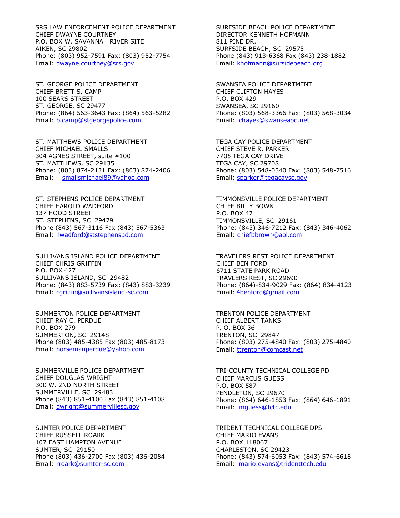SRS LAW ENFORCEMENT POLICE DEPARTMENT CHIEF DWAYNE COURTNEY P.O. BOX W. SAVANNAH RIVER SITE AIKEN, SC 29802 Phone: (803) 952-7591 Fax: (803) 952-7754 Email: [dwayne.courtney@srs.gov](mailto:dwayne.courtney@srs.gov)

ST. GEORGE POLICE DEPARTMENT CHIEF BRETT S. CAMP 100 SEARS STREET ST. GEORGE, SC 29477 Phone: (864) 563-3643 Fax: (864) 563-5282 Email: [b.camp@stgeorgepolice.com](mailto:b.camp@stgeorgepolice.com)

ST. MATTHEWS POLICE DEPARTMENT CHIEF MICHAEL SMALLS 304 AGNES STREET, suite #100 ST. MATTHEWS, SC 29135 Phone: (803) 874-2131 Fax: (803) 874-2406 Email: smallsmichael89@yahoo.com

ST. STEPHENS POLICE DEPARTMENT CHIEF HAROLD WADFORD 137 HOOD STREET ST. STEPHENS, SC 29479 Phone (843) 567-3116 Fax (843) 567-5363 Email: lwadford@ststephenspd.com

SULLIVANS ISLAND POLICE DEPARTMENT CHIEF CHRIS GRIFFIN P.O. BOX 427 SULLIVANS ISLAND, SC 29482 Phone: (843) 883-5739 Fax: (843) 883-3239 Email: [cgriffin@sullivansisland-sc.com](mailto:cgriffin@sullivansisland-sc.com)

SUMMERTON POLICE DEPARTMENT CHIEF RAY C. PERDUE P.O. BOX 279 SUMMERTON, SC 29148 Phone (803) 485-4385 Fax (803) 485-8173 Email: [horsemanperdue@yahoo.com](mailto:horsemanperdue@yahoo.com)

SUMMERVILLE POLICE DEPARTMENT CHIEF DOUGLAS WRIGHT 300 W. 2ND NORTH STREET SUMMERVILLE, SC 29483 Phone (843) 851-4100 Fax (843) 851-4108 Email: dwright@summervillesc.gov

SUMTER POLICE DEPARTMENT CHIEF RUSSELL ROARK 107 EAST HAMPTON AVENUE SUMTER, SC 29150 Phone (803) 436-2700 Fax (803) 436-2084 Email: [rroark@sumter-sc.com](mailto:rroark@sumter-sc.com)

SURFSIDE BEACH POLICE DEPARTMENT DIRECTOR KENNETH HOFMANN 811 PINE DR. SURFSIDE BEACH, SC 29575 Phone (843) 913-6368 Fax (843) 238-1882 Email: [khofmann@sursidebeach.org](mailto:khofmann@sursidebeach.org)

SWANSEA POLICE DEPARTMENT CHIEF CLIFTON HAYES P.O. BOX 429 SWANSEA, SC 29160 Phone: (803) 568-3366 Fax: (803) 568-3034 Email: [chayes@swanseapd.net](mailto:chayes@swanseapd.net)

TEGA CAY POLICE DEPARTMENT CHIEF STEVE R. PARKER 7705 TEGA CAY DRIVE TEGA CAY, SC 29708 Phone: (803) 548-0340 Fax: (803) 548-7516 Email: [sparker@tegacaysc.gov](mailto:sparker@tegacaysc.gov)

TIMMONSVILLE POLICE DEPARTMENT CHIEF BILLY BOWN P.O. BOX 47 TIMMONSVILLE, SC 29161 Phone: (843) 346-7212 Fax: (843) 346-4062 Email: chiefbbrown@aol.com

TRAVELERS REST POLICE DEPARTMENT CHIEF BEN FORD 6711 STATE PARK ROAD TRAVLERS REST, SC 29690 Phone: (864)-834-9029 Fax: (864) 834-4123 Email: 4benford@gmail.com

TRENTON POLICE DEPARTMENT CHIEF ALBERT TANKS P. O. BOX 36 TRENTON, SC 29847 Phone: (803) 275-4840 Fax: (803) 275-4840 Email: [ttrenton@comcast.net](mailto:ttrenton@comcast.net)

TRI-COUNTY TECHNICAL COLLEGE PD CHIEF MARCUS GUESS P.O. BOX 587 PENDLETON, SC 29670 Phone: (864) 646-1853 Fax: (864) 646-1891 Email: mguess@tctc.edu

TRIDENT TECHNICAL COLLEGE DPS CHIEF MARIO EVANS P.O. BOX 118067 CHARLESTON, SC 29423 Phone: (843) 574-6053 Fax: (843) 574-6618 Email: [mario.evans@tridenttech.edu](mailto:mario.evans@tridenttech.edu)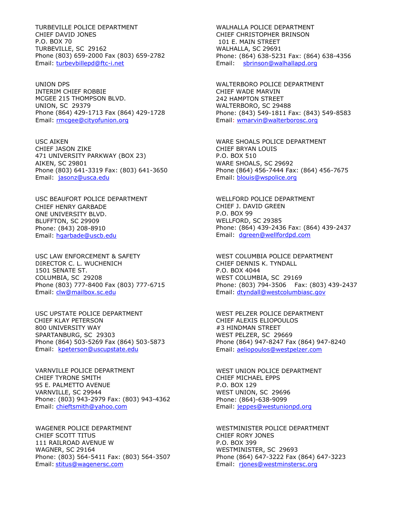TURBEVILLE POLICE DEPARTMENT CHIEF DAVID JONES P.O. BOX 70 TURBEVILLE, SC 29162 Phone (803) 659-2000 Fax (803) 659-2782 Email: [turbevbillepd@ftc-i.net](mailto:turbevbillepd@ftc-i.net)

UNION DPS INTERIM CHIEF ROBBIE MCGEE 215 THOMPSON BLVD. UNION, SC 29379 Phone (864) 429-1713 Fax (864) 429-1728 Email: rmcgee@cityofunion.org

USC AIKEN CHIEF JASON ZIKE 471 UNIVERSITY PARKWAY (BOX 23) AIKEN, SC 29801 Phone (803) 641-3319 Fax: (803) 641-3650 Email: [jasonz@usca.edu](mailto:jasonz@usca.edu)

USC BEAUFORT POLICE DEPARTMENT CHIEF HENRY GARBADE ONE UNIVERSITY BLVD. BLUFFTON, SC 29909 Phone: (843) 208-8910 Email: [hgarbade@uscb.edu](mailto:hgarbade@uscb.edu)

USC LAW ENFORCEMENT & SAFETY DIRECTOR C. L. WUCHENICH 1501 SENATE ST. COLUMBIA, SC 29208 Phone (803) 777-8400 Fax (803) 777-6715 Email: [clw@mailbox.sc.edu](mailto:clw@mailbox.sc.edu)

USC UPSTATE POLICE DEPARTMENT CHIEF KLAY PETERSON 800 UNIVERSITY WAY SPARTANBURG, SC 29303 Phone (864) 503-5269 Fax (864) 503-5873 Email: [kpeterson@uscupstate.edu](mailto:kpeterson@uscupstate.edu)

VARNVILLE POLICE DEPARTMENT CHIEF TYRONE SMITH 95 E. PALMETTO AVENUE VARNVILLE, SC 29944 Phone: (803) 943-2979 Fax: (803) 943-4362 Email: [chieftsmith@yahoo.com](mailto:chieftsmith@yahoo.com)

WAGENER POLICE DEPARTMENT CHIEF SCOTT TITUS 111 RAILROAD AVENUE W WAGNER, SC 29164 Phone: (803) 564-5411 Fax: (803) 564-3507 Email: stitus@wagenersc.com

WALHALLA POLICE DEPARTMENT CHIEF CHRISTOPHER BRINSON 101 E. MAIN STREET WALHALLA, SC 29691 Phone: (864) 638-5231 Fax: (864) 638-4356 Email: sbrinson@walhallapd.org

WALTERBORO POLICE DEPARTMENT CHIEF WADE MARVIN 242 HAMPTON STREET WALTERBORO, SC 29488 Phone: (843) 549-1811 Fax: (843) 549-8583 Email: [wmarvin@walterborosc.org](mailto:wmarvin@walterborosc.org)

WARE SHOALS POLICE DEPARTMENT CHIEF BRYAN LOUIS P.O. BOX 510 WARE SHOALS, SC 29692 Phone (864) 456-7444 Fax: (864) 456-7675 Email: blouis@wspolice.org

WELLFORD POLICE DEPARTMENT CHIEF J. DAVID GREEN P.O. BOX 99 WELLFORD, SC 29385 Phone: (864) 439-2436 Fax: (864) 439-2437 Email: [dgreen@wellfordpd.com](mailto:dgreen@wellfordpd.com)

WEST COLUMBIA POLICE DEPARTMENT CHIEF DENNIS K. TYNDALL P.O. BOX 4044 WEST COLUMBIA, SC 29169 Phone: (803) 794-3506 Fax: (803) 439-2437 Email: [dtyndall@westcolumbiasc.gov](mailto:dtyndall@westcolumbiasc.gov)

WEST PELZER POLICE DEPARTMENT CHIEF ALEXIS ELIOPOULOS #3 HINDMAN STREET WEST PELZER, SC 29669 Phone (864) 947-8247 Fax (864) 947-8240 Email: [aeliopoulos@westpelzer.com](mailto:aeliopoulos@westpelzer.com)

WEST UNION POLICE DEPARTMENT CHIEF MICHAEL EPPS P.O. BOX 129 WEST UNION, SC 29696 Phone: (864)-638-9099 Email: jeppes@westunionpd.org

WESTMINISTER POLICE DEPARTMENT CHIEF RORY JONES P.O. BOX 399 WESTMINISTER, SC 29693 Phone (864) 647-3222 Fax (864) 647-3223 Email: rjones@westminstersc.org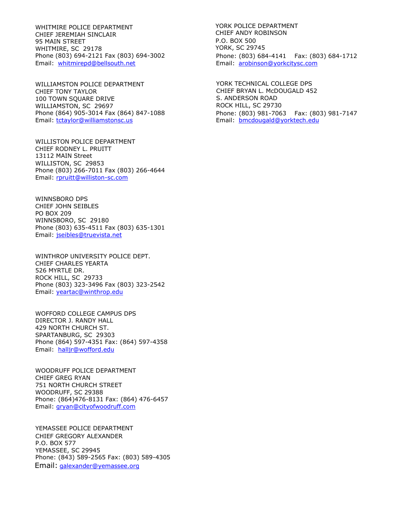WHITMIRE POLICE DEPARTMENT CHIEF JEREMIAH SINCLAIR 95 MAIN STREET WHITMIRE, SC 29178 Phone (803) 694-2121 Fax (803) 694-3002 Email: [whitmirepd@bellsouth.net](mailto:whitmirepd@bellsouth.net)

WILLIAMSTON POLICE DEPARTMENT CHIEF TONY TAYLOR 100 TOWN SQUARE DRIVE WILLIAMSTON, SC 29697 Phone (864) 905-3014 Fax (864) 847-1088 Email: [tctaylor@williamstonsc.us](mailto:tctaylor@williamstonsc.us)

WILLISTON POLICE DEPARTMENT CHIEF RODNEY L. PRUITT 13112 MAIN Street WILLISTON, SC 29853 Phone (803) 266-7011 Fax (803) 266-4644 Email: rpruitt@williston-sc.com

WINNSBORO DPS CHIEF JOHN SEIBLES PO BOX 209 WINNSBORO, SC 29180 Phone (803) 635-4511 Fax (803) 635-1301 Email: [jseibles@truevista.net](mailto:jseibles@truevista.net)

WINTHROP UNIVERSITY POLICE DEPT. CHIEF CHARLES YEARTA 526 MYRTLE DR. ROCK HILL, SC 29733 Phone (803) 323-3496 Fax (803) 323-2542 Email: yeartac@winthrop.edu

WOFFORD COLLEGE CAMPUS DPS DIRECTOR J. RANDY HALL 429 NORTH CHURCH ST. SPARTANBURG, SC 29303 Phone (864) 597-4351 Fax: (864) 597-4358 Email: [halljr@wofford.edu](mailto:halljr@wofford.edu)

WOODRUFF POLICE DEPARTMENT CHIEF GREG RYAN 751 NORTH CHURCH STREET WOODRUFF, SC 29388 Phone: (864)476-8131 Fax: (864) 476-6457 Email: [gryan@cityofwoodruff.com](mailto:gryan@cityofwoodruff.com)

YEMASSEE POLICE DEPARTMENT CHIEF GREGORY ALEXANDER P.O. BOX 577 YEMASSEE, SC 29945 Phone: (843) 589-2565 Fax: (803) 589-4305 Email: galexander@yemassee.org

YORK POLICE DEPARTMENT CHIEF ANDY ROBINSON P.O. BOX 500 YORK, SC 29745 Phone: (803) 684-4141 Fax: (803) 684-1712 Email: [arobinson@yorkcitysc.com](mailto:arobinson@yorkcitysc.com)

YORK TECHNICAL COLLEGE DPS CHIEF BRYAN L. McDOUGALD 452 S. ANDERSON ROAD ROCK HILL, SC 29730 Phone: (803) 981-7063 Fax: (803) 981-7147 Email: bmcdougald@yorktech.edu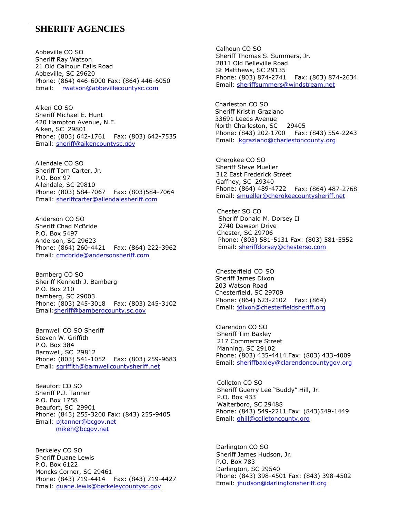### **SHERIFF AGENCIES**

Abbeville CO SO Sheriff Ray Watson 21 Old Calhoun Falls Road Abbeville, SC 29620 Phone: (864) 446-6000 Fax: (864) 446-6050 Email: [rwatson@abbevillecountysc.com](mailto:rwatson@abbevillecountysc.com)

Aiken, SC 29801<br>Aiken, SC 29801 Aiken CO SO Sheriff Michael E. Hunt 420 Hampton Avenue, N.E. Email: [kgraziano@charlestoncounty.org](mailto:kgraziano@charlestoncounty.org) Phone: (803) 642-1761 Fax: (803) 642-7535 Email: [sheriff@aikencountysc.gov](mailto:sheriff@aikencountysc.gov)

Allendale CO SO Sheriff Tom Carter, Jr. P.O. Box 97 Allendale, SC 29810 Phone: (803) 584-7067 Fax: (803)584-7064 Filolie: (804) 489-4722 Fax: (804) 487-2<br>Email: [sheriffcarter@allendalesheriff.com](mailto:sheriffcarter@allendalesheriff.com) Email: <u>smueller@cherokeecountysheriff.net</u>

Anderson CO SO Sheriff Chad McBride P.O. Box 5497 Anderson, SC 29623 Phone: (864) 260-4421 Fax: (864) 222-3962 Email: [cmcbride@andersonsheriff.com](mailto:cmcbride@andersonsheriff.com)

Bamberg CO SO Sheriff Kenneth J. Bamberg P.O. Box 210 Bamberg, SC 29003<br>Phone: (803) 245-3018 Fax: (803) 245-3102 Phone: (864) 623-2102 Fax: (864)<br>Email: [jdixon@chesterfieldsheriff.org](mailto:jdixon@chesterfieldsheriff.org)

Barnwell CO SO Sheriff Steven W. Griffith P.O. Box 384 Barnwell, SC 29812 Phone: (803) 541-1052 Fax: (803) 259-9683 Email: sgriffith@barnwellcountysheriff.net

Beaufort CO SO Sheriff P.J. Tanner P.O. Box 1758 Beaufort, SC 29901 Phone: (843) 255-3200 Fax: (843) 255-9405 Email: [pjtanner@bcgov.net](mailto:pjtanner@bcgov.net) [mikeh@bcgov.net](mailto:mikeh@bcgov.net)

Berkeley CO SO Sheriff Duane Lewis P.O. Box 6122 Moncks Corner, SC 29461 Phone: (843) 719-4414 Fax: (843) 719-4427 Email: [duane.lewis@berkeleycountysc.gov](mailto:duane.lewis@berkeleycountysc.gov)

Calhoun CO SO Sheriff Thomas S. Summers, Jr. 2811 Old Belleville Road St Matthews, SC 29135 Phone: (803) 874-2741 Fax: (803) 874-2634 Email: [sheriffsummers@windstream.net](mailto:sheriffsummers@windstream.net)

Charleston CO SO Sheriff Kristin Graziano 33691 Leeds Avenue Phone: (843) 202-1700 Fax: (843) 554-2243

Cherokee CO SO Sheriff Steve Mueller 312 East Frederick Street Gaffney, SC 29340 Phone: (864) 489-4722 Fax: (864) 487-2768

Chester SO CO Sheriff Donald M. Dorsey II 2740 Dawson Drive Chester, SC 29706 Phone: (803) 581-5131 Fax: (803) 581-5552 Email: [sheriffdorsey@chesterso.com](mailto:sheriffdorsey@chesterso.com)

Chesterfield CO SO Sheriff James Dixon 203 Watson Road Chesterfield, SC 29709 Phone: (864) 623-2102 Fax: (864)

Clarendon CO SO Sheriff Tim Baxley 217 Commerce Street Manning, SC 29102 Phone: (803) 435-4414 Fax: (803) 433-4009 Email: [sheriffbaxley@clarendoncountygov.org](mailto:sheriffbaxley@clarendoncountygov.org)

Colleton CO SO Sheriff Guerry Lee "Buddy" Hill, Jr. P.O. Box 433 Walterboro, SC 29488 Phone: (843) 549-2211 Fax: (843)549-1449 Email: ghill@colletoncounty.org

Darlington CO SO Sheriff James Hudson, Jr. P.O. Box 783 Darlington, SC 29540 Phone: (843) 398-4501 Fax: (843) 398-4502 Email: jhudson@darlingtonsheriff.org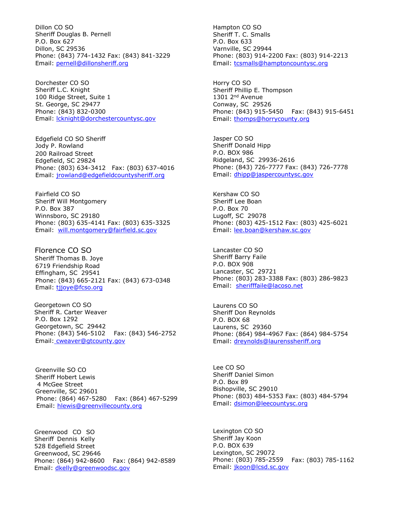Dillon CO SO Sheriff Douglas B. Pernell P.O. Box 627 Dillon, SC 29536 Phone: (843) 774-1432 Fax: (843) 841-3229 Email: pernell@dillonsheriff.org

Dorchester CO SO Sheriff L.C. Knight 100 Ridge Street, Suite 1 St. George, SC 29477 Phone: (843) 832-0300 Email: lcknight@dorchestercountysc.gov

Edgefield CO SO Sheriff Jody P. Rowland 200 Railroad Street Edgefield, SC 29824 Phone: (803) 634-3412 Fax: (803) 637-4016 Email: jrowland@edgefieldcountysheriff.org

Fairfield CO SO Sheriff Will Montgomery P.O. Box 387 Winnsboro, SC 29180 Phone: (803) 635-4141 Fax: (803) 635-3325 Email: [will.montgomery@fairfield.sc.gov](mailto:will.montgomery@fairfield.sc.gov)

Florence CO SO Sheriff Thomas B. Joye 6719 Friendship Road Effingham, SC 29541 Phone: (843) 665-2121 Fax: (843) 673-0348 Email: tijoye@fcso.org

Georgetown CO SO Sheriff R. Carter Weaver P.O. Box 1292 Georgetown, SC 29442 Phone: (843) 546-5102 Fax: (843) 546-2752 Email: cweaver@gtcounty.gov

Greenville SO CO Sheriff Hobert Lewis 4 McGee Street Greenville, SC 29601 Phone: (864) 467-5280 Fax: (864) 467-5299 Email: [hlewis@greenvillecounty.org](mailto:hlewis@greenvillecounty.org)

Greenwood CO SO Sheriff Dennis Kelly 528 Edgefield Street Greenwood, SC 29646 Phone: (864) 942-8600 Fax: (864) 942-8589 Email: [dkelly@greenwoodsc.gov](mailto:dkelly@greenwoodsc.gov)

Hampton CO SO Sheriff T. C. Smalls P.O. Box 633 Varnville, SC 29944 Phone: (803) 914-2200 Fax: (803) 914-2213 Email: [tcsmalls@hamptoncountysc.org](mailto:tcsmalls@hamptoncountysc.org)

Horry CO SO Sheriff Phillip E. Thompson 1301 2nd Avenue Conway, SC 29526 Phone: (843) 915-5450 Fax: (843) 915-6451 Email: [thomps@horrycounty.org](mailto:thomps@horrycounty.org)

Jasper CO SO Sheriff Donald Hipp P.O. BOX 986 Ridgeland, SC 29936-2616 Phone: (843) 726-7777 Fax: (843) 726-7778 Email: dhipp@jaspercountysc.gov

Kershaw CO SO Sheriff Lee Boan P.O. Box 70 Lugoff, SC 29078 Phone: (803) 425-1512 Fax: (803) 425-6021 Email: [lee.boan@kershaw.sc.gov](mailto:lee.boan@kershaw.sc.gov)

Lancaster CO SO Sheriff Barry Faile P.O. BOX 908 Lancaster, SC 29721 Phone: (803) 283-3388 Fax: (803) 286-9823 Email: [sherifffaile@lacoso.net](mailto:sherifffaile@lacoso.net)

Laurens CO SO Sheriff Don Reynolds P.O. BOX 68 Laurens, SC 29360 Phone: (864) 984-4967 Fax: (864) 984-5754 Email: [dreynolds@laurenssheriff.org](mailto:dreynolds@laurenssheriff.org)

Lee CO SO Sheriff Daniel Simon P.O. Box 89 Bishopville, SC 29010 Phone: (803) 484-5353 Fax: (803) 484-5794 Email: [dsimon@leecountysc.org](mailto:dsimon@leecountysc.org)

Lexington CO SO Sheriff Jay Koon P.O. BOX 639 Lexington, SC 29072 Phone: (803) 785-2559 Fax: (803) 785-1162 Email: [jkoon@lcsd.sc.gov](mailto:jkoon@lcsd.sc.gov)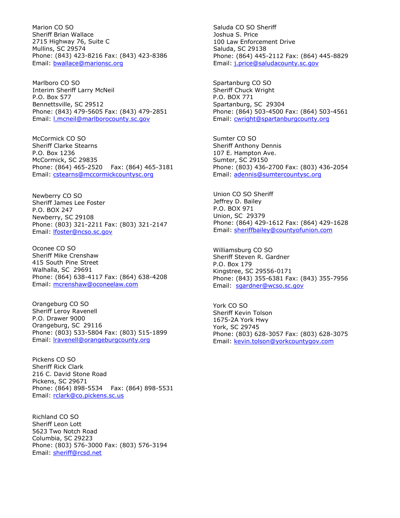Marion CO SO Sheriff Brian Wallace 2715 Highway 76, Suite C Mullins, SC 29574 Phone: (843) 423-8216 Fax: (843) 423-8386 Email: [bwallace@marionsc.org](mailto:bwallace@marionsc.org)

Marlboro CO SO Interim Sheriff Larry McNeil P.O. Box 577 Bennettsville, SC 29512 Phone: (843) 479-5605 Fax: (843) 479-2851 Email: l.mcneil@marlborocounty.sc.gov

McCormick CO SO Sheriff Clarke Stearns P.O. Box 1236 McCormick, SC 29835 Phone: (864) 465-2520 Fax: (864) 465-3181 Email: [cstearns@mccormickcountysc.org](mailto:cstearns@mccormickcountysc.org)

Newberry CO SO Sheriff James Lee Foster P.O. BOX 247 Newberry, SC 29108 Phone: (803) 321-2211 Fax: (803) 321-2147 Email: [lfoster@ncso.sc.gov](mailto:lfoster@ncso.sc.gov)

Oconee CO SO Sheriff Mike Crenshaw 415 South Pine Street Walhalla, SC 29691 Phone: (864) 638-4117 Fax: (864) 638-4208 Email: [mcrenshaw@oconeelaw.com](mailto:mcrenshaw@oconeelaw.com)

Orangeburg CO SO Sheriff Leroy Ravenell P.O. Drawer 9000 Orangeburg, SC 29116 Phone: (803) 533-5804 Fax: (803) 515-1899 Email: [lravenell@orangeburgcounty.org](mailto:lravenell@orangeburgcounty.org)

Pickens CO SO Sheriff Rick Clark 216 C. David Stone Road Pickens, SC 29671 Phone: (864) 898-5534 Fax: (864) 898-5531 Email: [rclark@co.pickens.sc.us](mailto:rclark@co.pickens.sc.us)

Richland CO SO Sheriff Leon Lott 5623 Two Notch Road Columbia, SC 29223 Phone: (803) 576-3000 Fax: (803) 576-3194 Email: [sheriff@rcsd.net](mailto:sheriff@rcsd.net)

Saluda CO SO Sheriff Joshua S. Price 100 Law Enforcement Drive Saluda, SC 29138 Phone: (864) 445-2112 Fax: (864) 445-8829 Email: j.price@saludacounty.sc.gov

Spartanburg CO SO Sheriff Chuck Wright P.O. BOX 771 Spartanburg, SC 29304 Phone: (864) 503-4500 Fax: (864) 503-4561 Email: [cwright@spartanburgcounty.org](mailto:cwright@spartanburgcounty.org)

Sumter CO SO Sheriff Anthony Dennis 107 E. Hampton Ave. Sumter, SC 29150 Phone: (803) 436-2700 Fax: (803) 436-2054 Email: [adennis@sumtercountysc.org](mailto:adennis@sumtercountysc.org)

Union CO SO Sheriff Jeffrey D. Bailey P.O. BOX 971 Union, SC 29379 Phone: (864) 429-1612 Fax: (864) 429-1628 Email: sheriffbailey@countyofunion.com

Williamsburg CO SO Sheriff Steven R. Gardner P.O. Box 179 Kingstree, SC 29556-0171 Phone: (843) 355-6381 Fax: (843) 355-7956 Email: [sgardner@wcso.sc.gov](mailto:sgardner@wcso.sc.gov)

York CO SO Sheriff Kevin Tolson 1675-2A York Hwy York, SC 29745 Phone: (803) 628-3057 Fax: (803) 628-3075 Email: [kevin.tolson@yorkcountygov.com](mailto:kevin.tolson@yorkcountygov.com)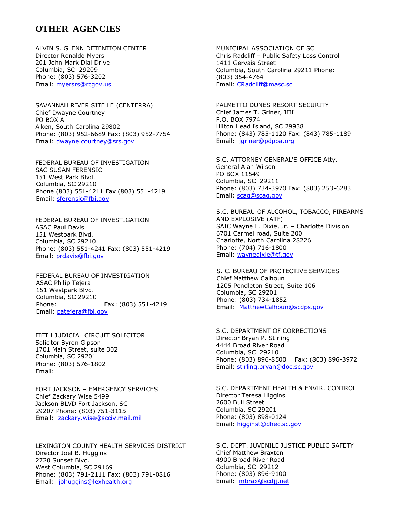## **OTHER AGENCIES**

ALVIN S. GLENN DETENTION CENTER Director Ronaldo Myers 201 John Mark Dial Drive Columbia, SC 29209 Phone: (803) 576-3202 Email: [myersrs@rcgov.us](mailto:myersrs@rcgov.us)

SAVANNAH RIVER SITE LE (CENTERRA) Chief Dwayne Courtney PO BOX A Aiken, South Carolina 29802 Phone: (803) 952-6689 Fax: (803) 952-7754 Email: [dwayne.courtney@srs.gov](mailto:dwayne.courtney@srs.gov)

FEDERAL BUREAU OF INVESTIGATION SAC SUSAN FERENSIC 151 West Park Blvd. Columbia, SC 29210 Phone (803) 551-4211 Fax (803) 551-4219 Email: sferensic@fbi.gov

FEDERAL BUREAU OF INVESTIGATION ASAC Paul Davis 151 Westpark Blvd. Columbia, SC 29210 Phone: (803) 551-4241 Fax: (803) 551-4219 Email: [prdavis@fbi.gov](mailto:prdavis@fbi.gov)

FEDERAL BUREAU OF INVESTIGATION ASAC Philip Tejera 151 Westpark Blvd. Columbia, SC 29210 Phone: Fax: (803) 551-4219 Email: [patejera@fbi.gov](mailto:patejera@fbi.gov)

FIFTH JUDICIAL CIRCUIT SOLICITOR Solicitor Byron Gipson 1701 Main Street, suite 302 Columbia, SC 29201 Phone: (803) 576-1802 Email:

FORT JACKSON – EMERGENCY SERVICES Chief Zackary Wise 5499 Jackson BLVD Fort Jackson, SC 29207 Phone: (803) 751-3115 Email: [zackary.wise@scciv.mail.mil](mailto:zackary.wise@scciv.mail.mil)

LEXINGTON COUNTY HEALTH SERVICES DISTRICT Director Joel B. Huggins 2720 Sunset Blvd. West Columbia, SC 29169 Phone: (803) 791-2111 Fax: (803) 791-0816 Email: [jbhuggins@lexhealth.org](mailto:jbhuggins@lexhealth.org)

MUNICIPAL ASSOCIATION OF SC Chris Radcliff – Public Safety Loss Control 1411 Gervais Street Columbia, South Carolina 29211 Phone: (803) 354-4764 Email: [CRadcliff@masc.sc](mailto:CRadcliff@masc.sc)

PALMETTO DUNES RESORT SECURITY Chief James T. Griner, IIII P.O. BOX 7974 Hilton Head Island, SC 29938 Phone: (843) 785-1120 Fax: (843) 785-1189 Email: [jgriner@pdpoa.org](mailto:jgriner@pdpoa.org)

S.C. ATTORNEY GENERAL'S OFFICE Atty. General Alan Wilson PO BOX 11549 Columbia, SC 29211 Phone: (803) 734-3970 Fax: (803) 253-6283 Email: [scag@scag.gov](mailto:scag@scag.gov)

S.C. BUREAU OF ALCOHOL, TOBACCO, FIREARMS AND EXPLOSIVE (ATF) SAIC Wayne L. Dixie, Jr. – Charlotte Division 6701 Carmel road, Suite 200 Charlotte, North Carolina 28226 Phone: (704) 716-1800 Email: [waynedixie@tf.gov](mailto:waynedixie@tf.gov)

S. C. BUREAU OF PROTECTIVE SERVICES Chief Matthew Calhoun 1205 Pendleton Street, Suite 106 Columbia, SC 29201 Phone: (803) 734-1852 Email: MatthewCalhoun@scdps.gov

S.C. DEPARTMENT OF CORRECTIONS Director Bryan P. Stirling 4444 Broad River Road Columbia, SC 29210 Phone: (803) 896-8500 Fax: (803) 896-3972 Email: [stirling.bryan@doc.sc.gov](mailto:stirling.bryan@doc.sc.gov)

S.C. DEPARTMENT HEALTH & ENVIR. CONTROL Director Teresa Higgins 2600 Bull Street Columbia, SC 29201 Phone: (803) 898-0124 Email: [higginst@dhec.sc.gov](mailto:higginst@dhec.sc.gov)

S.C. DEPT. JUVENILE JUSTICE PUBLIC SAFETY Chief Matthew Braxton 4900 Broad River Road Columbia, SC 29212 Phone: (803) 896-9100 Email: [mbrax@scdjj.net](mailto:mbrax@scdjj.net)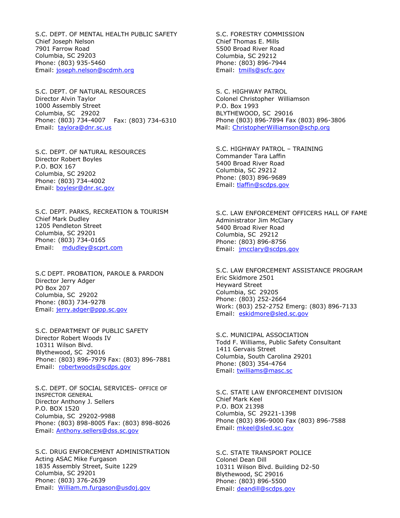S.C. DEPT. OF MENTAL HEALTH PUBLIC SAFETY Chief Joseph Nelson 7901 Farrow Road Columbia, SC 29203 Phone: (803) 935-5460 Email: [joseph.nelson@scdmh.org](mailto:joseph.nelson@scdmh.org)

S.C. DEPT. OF NATURAL RESOURCES Director Alvin Taylor 1000 Assembly Street Columbia, SC 29202 Phone: (803) 734-4007 Fax: (803) 734-6310 Email: [taylora@dnr.sc.us](mailto:taylora@dnr.sc.us)

S.C. DEPT. OF NATURAL RESOURCES Director Robert Boyles P.O. BOX 167 Columbia, SC 29202 Phone: (803) 734-4002 Email: [boylesr@dnr.sc.gov](mailto:boylesr@dnr.sc.gov)

S.C. DEPT. PARKS, RECREATION & TOURISM Chief Mark Dudley 1205 Pendleton Street Columbia, SC 29201 Phone: (803) 734-0165 Email: [mdudley@scprt.com](mailto:mdudley@scprt.com)

S.C DEPT. PROBATION, PAROLE & PARDON Director Jerry Adger PO Box 207 Columbia, SC 29202 Phone: (803) 734-9278 Email: [jerry.adger@ppp.sc.gov](mailto:jerry.adger@ppp.sc.gov)

S.C. DEPARTMENT OF PUBLIC SAFETY Director Robert Woods IV 10311 Wilson Blvd. Blythewood, SC 29016 Phone: (803) 896-7979 Fax: (803) 896-7881 Email: [robertwoods@scdps.gov](mailto:robertwoods@scdps.gov)

S.C. DEPT. OF SOCIAL SERVICES- OFFICE OF INSPECTOR GENERAL Director Anthony J. Sellers P.O. BOX 1520 Columbia, SC 29202-9988 Phone: (803) 898-8005 Fax: (803) 898-8026 Email: [Anthony.sellers@dss.sc.gov](mailto:Anthony.sellers@dss.sc.gov)

S.C. DRUG ENFORCEMENT ADMINISTRATION Acting ASAC Mike Furgason 1835 Assembly Street, Suite 1229 Columbia, SC 29201 Phone: (803) 376-2639 Email: [William.m.furgason@usdoj.gov](mailto:William.m.furgason@usdoj.gov)

S.C. FORESTRY COMMISSION Chief Thomas E. Mills 5500 Broad River Road Columbia, SC 29212 Phone: (803) 896-7944 Email: [tmills@scfc.gov](mailto:tmills@scfc.gov)

S. C. HIGHWAY PATROL Colonel Christopher Williamson P.O. Box 1993 BLYTHEWOOD, SC 29016 Phone (803) 896-7894 Fax (803) 896-3806 Mail: [ChristopherWilliamson@schp.org](mailto:ChristopherWilliamson@schp.org)

S.C. HIGHWAY PATROL – TRAINING Commander Tara Laffin 5400 Broad River Road Columbia, SC 29212 Phone: (803) 896-9689 Email: [tlaffin@scdps.gov](mailto:tlaffin@scdps.gov)

S.C. LAW ENFORCEMENT OFFICERS HALL OF FAME Administrator Jim McClary 5400 Broad River Road Columbia, SC 29212 Phone: (803) 896-8756 Email: [jmcclary@scdps.gov](mailto:jmcclary@scdps.gov)

S.C. LAW ENFORCEMENT ASSISTANCE PROGRAM Eric Skidmore 2501 Heyward Street Columbia, SC 29205 Phone: (803) 252-2664 Work: (803) 252-2752 Emerg: (803) 896-7133 Email: [eskidmore@sled.sc.gov](mailto:eskidmore@sled.sc.gov)

S.C. MUNICIPAL ASSOCIATION Todd F. Williams, Public Safety Consultant 1411 Gervais Street Columbia, South Carolina 29201 Phone: (803) 354-4764 Email: [twilliams@masc.sc](mailto:twilliams@masc.sc)

S.C. STATE LAW ENFORCEMENT DIVISION Chief Mark Keel P.O. BOX 21398 Columbia, SC 29221-1398 Phone (803) 896-9000 Fax (803) 896-7588 Email: [mkeel@sled.sc.gov](mailto:mkeel@sled.sc.gov)

S.C. STATE TRANSPORT POLICE Colonel Dean Dill 10311 Wilson Blvd. Building D2-50 Blythewood, SC 29016 Phone: (803) 896-5500 Email: deandill@scdps.gov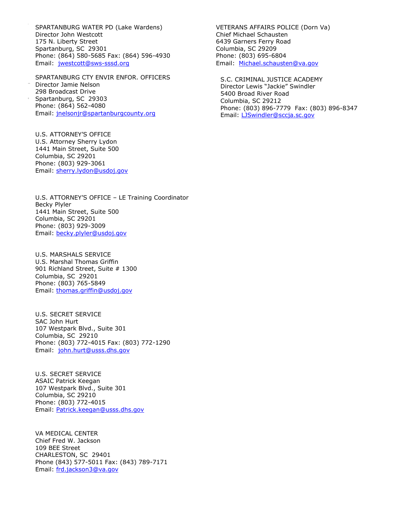SPARTANBURG WATER PD (Lake Wardens) Director John Westcott 175 N. Liberty Street Spartanburg, SC 29301 Phone: (864) 580-5685 Fax: (864) 596-4930 Email: [jwestcott@sws-sssd.org](mailto:jwestcott@sws-sssd.org)

SPARTANBURG CTY ENVIR ENFOR. OFFICERS Director Jamie Nelson 298 Broadcast Drive Spartanburg, SC 29303 Phone: (864) 562-4080 Email: [jnelsonjr@spartanburgcounty.org](mailto:jnelsonjr@spartanburgcounty.org)

U.S. ATTORNEY'S OFFICE U.S. Attorney Sherry Lydon 1441 Main Street, Suite 500 Columbia, SC 29201 Phone: (803) 929-3061 Email: [sherry.lydon@usdoj.gov](mailto:sherry.lydon@usdoj.gov)

U.S. ATTORNEY'S OFFICE – LE Training Coordinator Becky Plyler 1441 Main Street, Suite 500 Columbia, SC 29201 Phone: (803) 929-3009 Email: [becky.plyler@usdoj.gov](mailto:becky.plyler@usdoj.gov)

U.S. MARSHALS SERVICE U.S. Marshal Thomas Griffin 901 Richland Street, Suite # 1300 Columbia, SC 29201 Phone: (803) 765-5849 Email: [thomas.griffin@usdoj.gov](mailto:thomas.griffin@usdoj.gov)

U.S. SECRET SERVICE SAC John Hurt 107 Westpark Blvd., Suite 301 Columbia, SC 29210 Phone: (803) 772-4015 Fax: (803) 772-1290 Email: [john.hurt@usss.dhs.gov](mailto:john.hurt@usss.dhs.gov)

U.S. SECRET SERVICE ASAIC Patrick Keegan 107 Westpark Blvd., Suite 301 Columbia, SC 29210 Phone: (803) 772-4015 Email: [Patrick.keegan@usss.dhs.gov](mailto:Patrick.keegan@usss.dhs.gov)

VA MEDICAL CENTER Chief Fred W. Jackson 109 BEE Street CHARLESTON, SC 29401 Phone (843) 577-5011 Fax: (843) 789-7171 Email: [frd.jackson3@va.gov](mailto:frd.jackson3@va.gov)

VETERANS AFFAIRS POLICE (Dorn Va) Chief Michael Schausten 6439 Garners Ferry Road Columbia, SC 29209 Phone: (803) 695-6804 Email: [Michael.schausten@va.gov](mailto:Michael.schausten@va.gov)

S.C. CRIMINAL JUSTICE ACADEMY Director Lewis "Jackie" Swindler 5400 Broad River Road Columbia, SC 29212 Phone: (803) 896-7779 Fax: (803) 896-8347 Email: [LJSwindler@sccja.sc.gov](mailto:LJSwindler@sccja.sc.gov)